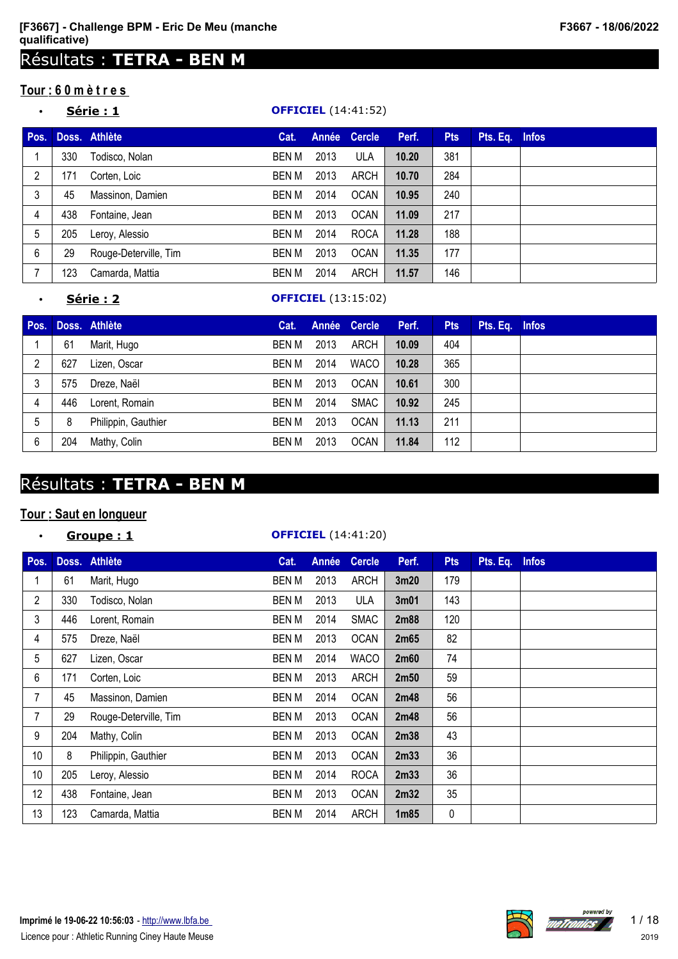# Résultats : **TETRA - BEN M**

## **Tour : 6 0 m è t r e s**

## • **Série : 1 OFFICIEL** (14:41:52)

| Pos. |     | Doss. Athlète         | Cat.         |      | Année Cercle | Perf. | <b>Pts</b> | Pts. Eq. Infos |  |
|------|-----|-----------------------|--------------|------|--------------|-------|------------|----------------|--|
|      | 330 | Todisco, Nolan        | BEN M        | 2013 | <b>ULA</b>   | 10.20 | 381        |                |  |
| 2    | 171 | Corten, Loic          | <b>BEN M</b> | 2013 | ARCH         | 10.70 | 284        |                |  |
| 3    | 45  | Massinon, Damien      | BEN M        | 2014 | <b>OCAN</b>  | 10.95 | 240        |                |  |
| 4    | 438 | Fontaine, Jean        | <b>BEN M</b> | 2013 | <b>OCAN</b>  | 11.09 | 217        |                |  |
| 5    | 205 | Leroy, Alessio        | BEN M        | 2014 | <b>ROCA</b>  | 11.28 | 188        |                |  |
| 6    | 29  | Rouge-Deterville, Tim | BEN M        | 2013 | <b>OCAN</b>  | 11.35 | 177        |                |  |
|      | 123 | Camarda, Mattia       | BEN M        | 2014 | ARCH         | 11.57 | 146        |                |  |

#### • **Série : 2 OFFICIEL** (13:15:02)

| Pos. |     | Doss. Athlète       | Cat.         |      | Année Cercle | Perf. | <b>Pts</b> | Pts. Eq. Infos |  |
|------|-----|---------------------|--------------|------|--------------|-------|------------|----------------|--|
|      | 61  | Marit, Hugo         | <b>BEN M</b> | 2013 | ARCH         | 10.09 | 404        |                |  |
| 2    | 627 | Lizen, Oscar        | BEN M        | 2014 | <b>WACO</b>  | 10.28 | 365        |                |  |
|      | 575 | Dreze, Naël         | BEN M        | 2013 | <b>OCAN</b>  | 10.61 | 300        |                |  |
| 4    | 446 | Lorent, Romain      | BEN M        | 2014 | SMAC         | 10.92 | 245        |                |  |
| 5    | 8   | Philippin, Gauthier | BEN M        | 2013 | <b>OCAN</b>  | 11.13 | 211        |                |  |
| 6    | 204 | Mathy, Colin        | BEN M        | 2013 | <b>OCAN</b>  | 11.84 | 112        |                |  |

# Résultats : **TETRA - BEN M**

## **Tour : Saut en longueur**

# • **Groupe : 1 OFFICIEL** (14:41:20) **Pos. Doss. Athlète Cat. Année Cercle Perf. Pts Pts. Eq. Infos** 61 Marit, Hugo BEN M 2013 ARCH **3m20** 179 330 Todisco, Nolan BEN M 2013 ULA **3m01** 143 446 Lorent, Romain BEN M 2014 SMAC **2m88** 120 575 Dreze, Naël BEN M 2013 OCAN **2m65** 82 627 Lizen, Oscar BEN M 2014 WACO **2m60** 74 171 Corten, Loic BEN M 2013 ARCH **2m50** 59 45 Massinon, Damien BEN M 2014 OCAN **2m48** 56 29 Rouge-Deterville, Tim BEN M 2013 OCAN **2m48** 56 204 Mathy, Colin BEN M 2013 OCAN **2m38** 43 8 Philippin, Gauthier BEN M 2013 OCAN **2m33** 36 205 Leroy, Alessio BEN M 2014 ROCA **2m33** 36 438 Fontaine, Jean BEN M 2013 OCAN **2m32** 35 123 Camarda, Mattia BEN M 2014 ARCH **1m85** 0

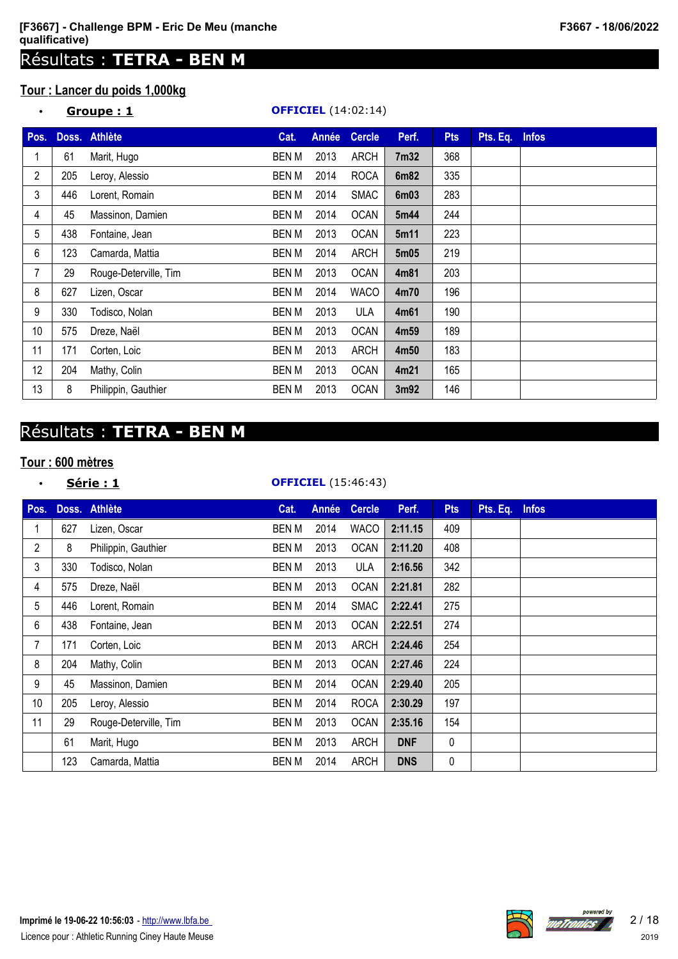# Résultats : **TETRA - BEN M**

# **Tour : Lancer du poids 1,000kg**

|  | F3667 - 18/06/2022 |
|--|--------------------|
|--|--------------------|

| $\bullet$      |     | Groupe: 1             |              |              | <b>OFFICIEL</b> (14:02:14) |                  |            |          |              |
|----------------|-----|-----------------------|--------------|--------------|----------------------------|------------------|------------|----------|--------------|
| Pos.           |     | Doss. Athlète         | Cat.         | <b>Année</b> | <b>Cercle</b>              | Perf.            | <b>Pts</b> | Pts. Eq. | <b>Infos</b> |
|                | 61  | Marit, Hugo           | <b>BENM</b>  | 2013         | <b>ARCH</b>                | 7 <sub>m32</sub> | 368        |          |              |
| $\overline{c}$ | 205 | Leroy, Alessio        | <b>BEN M</b> | 2014         | <b>ROCA</b>                | 6m82             | 335        |          |              |
| 3              | 446 | Lorent, Romain        | <b>BENM</b>  | 2014         | <b>SMAC</b>                | 6 <sub>m03</sub> | 283        |          |              |
| 4              | 45  | Massinon, Damien      | BEN M        | 2014         | <b>OCAN</b>                | 5m44             | 244        |          |              |
| 5              | 438 | Fontaine, Jean        | <b>BENM</b>  | 2013         | <b>OCAN</b>                | 5m11             | 223        |          |              |
| 6              | 123 | Camarda, Mattia       | BEN M        | 2014         | ARCH                       | 5 <sub>m05</sub> | 219        |          |              |
| 7              | 29  | Rouge-Deterville, Tim | <b>BENM</b>  | 2013         | <b>OCAN</b>                | 4m81             | 203        |          |              |
| 8              | 627 | Lizen, Oscar          | <b>BENM</b>  | 2014         | <b>WACO</b>                | 4m70             | 196        |          |              |
| 9              | 330 | Todisco, Nolan        | <b>BENM</b>  | 2013         | <b>ULA</b>                 | 4m61             | 190        |          |              |
| 10             | 575 | Dreze, Naël           | <b>BEN M</b> | 2013         | <b>OCAN</b>                | 4m59             | 189        |          |              |
| 11             | 171 | Corten, Loic          | <b>BENM</b>  | 2013         | <b>ARCH</b>                | 4m50             | 183        |          |              |
| 12             | 204 | Mathy, Colin          | <b>BEN M</b> | 2013         | <b>OCAN</b>                | 4m21             | 165        |          |              |
| 13             | 8   | Philippin, Gauthier   | <b>BEN M</b> | 2013         | <b>OCAN</b>                | 3m92             | 146        |          |              |

# Résultats : **TETRA - BEN M**

## **Tour : 600 mètres**

| $\bullet$       |     | Série : 1             |              |       | <b>OFFICIEL</b> (15:46:43) |            |             |          |              |
|-----------------|-----|-----------------------|--------------|-------|----------------------------|------------|-------------|----------|--------------|
| Pos.            |     | Doss. Athlète         | Cat.         | Année | <b>Cercle</b>              | Perf.      | <b>Pts</b>  | Pts. Eq. | <b>Infos</b> |
|                 | 627 | Lizen, Oscar          | <b>BENM</b>  | 2014  | <b>WACO</b>                | 2:11.15    | 409         |          |              |
| $\overline{2}$  | 8   | Philippin, Gauthier   | <b>BENM</b>  | 2013  | <b>OCAN</b>                | 2:11.20    | 408         |          |              |
| 3               | 330 | Todisco, Nolan        | <b>BENM</b>  | 2013  | ULA                        | 2:16.56    | 342         |          |              |
| 4               | 575 | Dreze, Naël           | <b>BENM</b>  | 2013  | <b>OCAN</b>                | 2:21.81    | 282         |          |              |
| 5               | 446 | Lorent, Romain        | <b>BENM</b>  | 2014  | <b>SMAC</b>                | 2:22.41    | 275         |          |              |
| 6               | 438 | Fontaine, Jean        | <b>BENM</b>  | 2013  | <b>OCAN</b>                | 2:22.51    | 274         |          |              |
| $\overline{7}$  | 171 | Corten, Loic          | <b>BENM</b>  | 2013  | <b>ARCH</b>                | 2:24.46    | 254         |          |              |
| 8               | 204 | Mathy, Colin          | <b>BENM</b>  | 2013  | <b>OCAN</b>                | 2:27.46    | 224         |          |              |
| 9               | 45  | Massinon, Damien      | <b>BEN M</b> | 2014  | <b>OCAN</b>                | 2:29.40    | 205         |          |              |
| 10 <sup>1</sup> | 205 | Leroy, Alessio        | <b>BENM</b>  | 2014  | <b>ROCA</b>                | 2:30.29    | 197         |          |              |
| 11              | 29  | Rouge-Deterville, Tim | <b>BENM</b>  | 2013  | <b>OCAN</b>                | 2:35.16    | 154         |          |              |
|                 | 61  | Marit, Hugo           | <b>BENM</b>  | 2013  | <b>ARCH</b>                | <b>DNF</b> | $\mathbf 0$ |          |              |
|                 | 123 | Camarda, Mattia       | <b>BENM</b>  | 2014  | <b>ARCH</b>                | <b>DNS</b> | 0           |          |              |



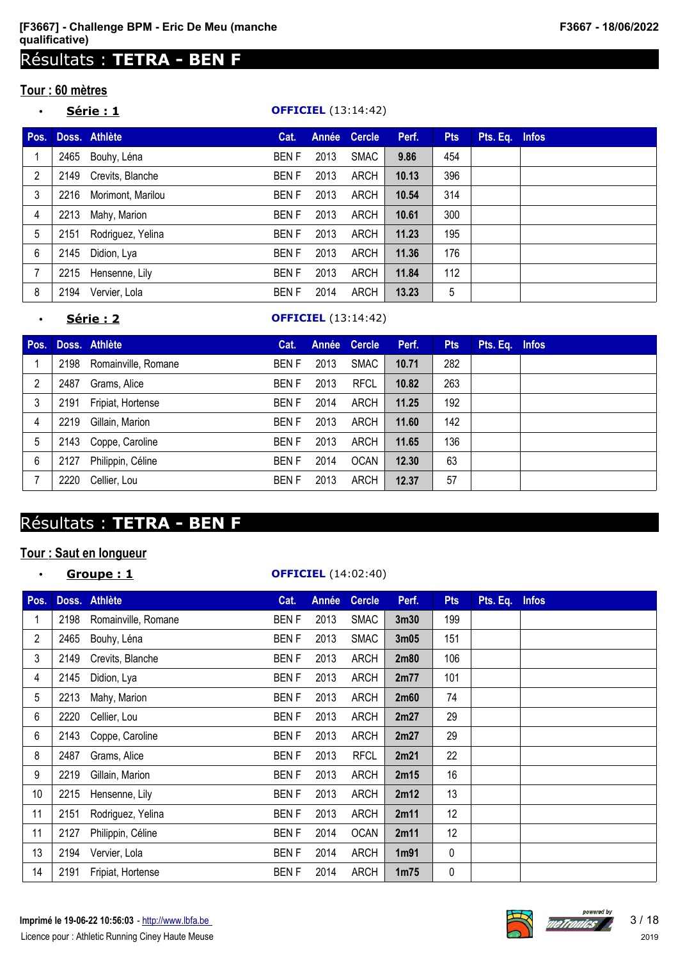# Résultats : **TETRA - BEN F**

## **Tour : 60 mètres**

## • **Série : 1 OFFICIEL** (13:14:42)

| Pos. |      | Doss. Athlète     | Cat.        |      | Année Cercle | Perf. | <b>Pts</b> | Pts. Eq. Infos |  |
|------|------|-------------------|-------------|------|--------------|-------|------------|----------------|--|
|      | 2465 | Bouhy, Léna       | <b>BENF</b> | 2013 | <b>SMAC</b>  | 9.86  | 454        |                |  |
| 2    | 2149 | Crevits, Blanche  | <b>BENF</b> | 2013 | ARCH         | 10.13 | 396        |                |  |
| 3    | 2216 | Morimont, Marilou | <b>BENF</b> | 2013 | ARCH         | 10.54 | 314        |                |  |
| 4    | 2213 | Mahy, Marion      | <b>BENF</b> | 2013 | ARCH         | 10.61 | 300        |                |  |
| 5    | 2151 | Rodriguez, Yelina | <b>BENF</b> | 2013 | ARCH         | 11.23 | 195        |                |  |
| 6    | 2145 | Didion, Lya       | <b>BENF</b> | 2013 | <b>ARCH</b>  | 11.36 | 176        |                |  |
|      | 2215 | Hensenne, Lily    | <b>BENF</b> | 2013 | <b>ARCH</b>  | 11.84 | 112        |                |  |
| 8    | 2194 | Vervier, Lola     | BEN F       | 2014 | ARCH         | 13.23 | 5          |                |  |

# • **Série : 2 OFFICIEL** (13:14:42)

| Pos. |      | Doss. Athlète       | Cat.         |      | Année Cercle | Perf. | <b>Pts</b> | Pts. Eq. Infos |  |
|------|------|---------------------|--------------|------|--------------|-------|------------|----------------|--|
|      | 2198 | Romainville, Romane | <b>BENF</b>  | 2013 | <b>SMAC</b>  | 10.71 | 282        |                |  |
| 2    | 2487 | Grams, Alice        | <b>BENF</b>  | 2013 | <b>RFCL</b>  | 10.82 | 263        |                |  |
| 3    | 2191 | Fripiat, Hortense   | <b>BEN F</b> | 2014 | ARCH         | 11.25 | 192        |                |  |
| 4    | 2219 | Gillain, Marion     | <b>BEN F</b> | 2013 | ARCH         | 11.60 | 142        |                |  |
| 5    | 2143 | Coppe, Caroline     | <b>BENF</b>  | 2013 | ARCH         | 11.65 | 136        |                |  |
| 6    | 2127 | Philippin, Céline   | <b>BENF</b>  | 2014 | <b>OCAN</b>  | 12.30 | 63         |                |  |
|      | 2220 | Cellier, Lou        | <b>BEN F</b> | 2013 | ARCH         | 12.37 | 57         |                |  |

# Résultats : **TETRA - BEN F**

## **Tour : Saut en longueur**

## • **Groupe : 1 OFFICIEL** (14:02:40)

| Pos. |      | Doss. Athlète       | Cat.        | Année | <b>Cercle</b> | Perf.             | <b>Pts</b> | Pts. Eq. | <b>Infos</b> |
|------|------|---------------------|-------------|-------|---------------|-------------------|------------|----------|--------------|
| 1    | 2198 | Romainville, Romane | BEN F       | 2013  | <b>SMAC</b>   | 3 <sub>m30</sub>  | 199        |          |              |
| 2    | 2465 | Bouhy, Léna         | <b>BENF</b> | 2013  | <b>SMAC</b>   | 3 <sub>m05</sub>  | 151        |          |              |
| 3    | 2149 | Crevits, Blanche    | <b>BENF</b> | 2013  | <b>ARCH</b>   | 2m80              | 106        |          |              |
| 4    | 2145 | Didion, Lya         | <b>BENF</b> | 2013  | <b>ARCH</b>   | 2m77              | 101        |          |              |
| 5    | 2213 | Mahy, Marion        | <b>BENF</b> | 2013  | <b>ARCH</b>   | 2m60              | 74         |          |              |
| 6    | 2220 | Cellier, Lou        | <b>BENF</b> | 2013  | <b>ARCH</b>   | 2m27              | 29         |          |              |
| 6    | 2143 | Coppe, Caroline     | <b>BENF</b> | 2013  | <b>ARCH</b>   | 2m27              | 29         |          |              |
| 8    | 2487 | Grams, Alice        | <b>BENF</b> | 2013  | <b>RFCL</b>   | 2m21              | 22         |          |              |
| 9    | 2219 | Gillain, Marion     | <b>BENF</b> | 2013  | <b>ARCH</b>   | 2m15              | 16         |          |              |
| 10   | 2215 | Hensenne, Lily      | <b>BENF</b> | 2013  | <b>ARCH</b>   | 2m12              | 13         |          |              |
| 11   | 2151 | Rodriguez, Yelina   | <b>BENF</b> | 2013  | <b>ARCH</b>   | 2m11              | 12         |          |              |
| 11   | 2127 | Philippin, Céline   | <b>BENF</b> | 2014  | <b>OCAN</b>   | 2m11              | 12         |          |              |
| 13   | 2194 | Vervier, Lola       | <b>BENF</b> | 2014  | <b>ARCH</b>   | 1 <sub>m91</sub>  | 0          |          |              |
| 14   | 2191 | Fripiat, Hortense   | <b>BENF</b> | 2014  | <b>ARCH</b>   | 1 <sub>m</sub> 75 | 0          |          |              |



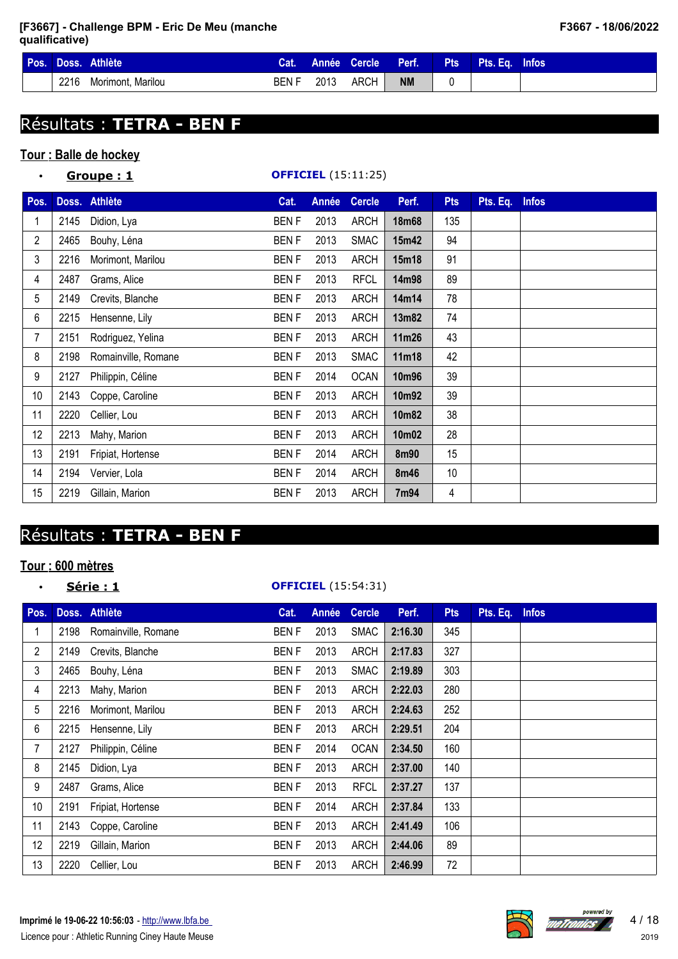| Pos. |      | Doss. Athlète     | Cat.  |      | Année Cercle | Perf.     | <b>Pts</b> | Pts. Eq. Infos |  |
|------|------|-------------------|-------|------|--------------|-----------|------------|----------------|--|
|      | 2216 | Morimont, Marilou | BEN F | 2013 | ARCH         | <b>NM</b> |            |                |  |

# Résultats : **TETRA - BEN F**

# **Tour : Balle de hockey**

| $\bullet$       |      | <u>Groupe : 1</u>   |             |       | <b>OFFICIEL</b> (15:11:25) |              |            |          |              |
|-----------------|------|---------------------|-------------|-------|----------------------------|--------------|------------|----------|--------------|
| Pos.            |      | Doss. Athlète       | Cat.        | Année | <b>Cercle</b>              | Perf.        | <b>Pts</b> | Pts. Eq. | <b>Infos</b> |
| 1               | 2145 | Didion, Lya         | <b>BENF</b> | 2013  | <b>ARCH</b>                | <b>18m68</b> | 135        |          |              |
| $\overline{2}$  | 2465 | Bouhy, Léna         | <b>BENF</b> | 2013  | <b>SMAC</b>                | 15m42        | 94         |          |              |
| 3               | 2216 | Morimont, Marilou   | <b>BENF</b> | 2013  | <b>ARCH</b>                | 15m18        | 91         |          |              |
| 4               | 2487 | Grams, Alice        | <b>BENF</b> | 2013  | <b>RFCL</b>                | 14m98        | 89         |          |              |
| 5               | 2149 | Crevits, Blanche    | <b>BENF</b> | 2013  | <b>ARCH</b>                | 14m14        | 78         |          |              |
| 6               | 2215 | Hensenne, Lily      | <b>BENF</b> | 2013  | <b>ARCH</b>                | 13m82        | 74         |          |              |
| 7               | 2151 | Rodriguez, Yelina   | <b>BENF</b> | 2013  | <b>ARCH</b>                | 11m26        | 43         |          |              |
| 8               | 2198 | Romainville, Romane | <b>BENF</b> | 2013  | <b>SMAC</b>                | 11m18        | 42         |          |              |
| 9               | 2127 | Philippin, Céline   | <b>BENF</b> | 2014  | <b>OCAN</b>                | 10m96        | 39         |          |              |
| 10 <sup>1</sup> | 2143 | Coppe, Caroline     | <b>BENF</b> | 2013  | <b>ARCH</b>                | 10m92        | 39         |          |              |
| 11              | 2220 | Cellier, Lou        | <b>BENF</b> | 2013  | <b>ARCH</b>                | 10m82        | 38         |          |              |
| 12              | 2213 | Mahy, Marion        | <b>BENF</b> | 2013  | <b>ARCH</b>                | 10m02        | 28         |          |              |
| 13              | 2191 | Fripiat, Hortense   | <b>BENF</b> | 2014  | <b>ARCH</b>                | 8m90         | 15         |          |              |
| 14              | 2194 | Vervier, Lola       | <b>BENF</b> | 2014  | <b>ARCH</b>                | 8m46         | 10         |          |              |
| 15              | 2219 | Gillain, Marion     | <b>BENF</b> | 2013  | <b>ARCH</b>                | 7m94         | 4          |          |              |

# Résultats : **TETRA - BEN F**

# **Tour : 600 mètres**

#### • **Série : 1 OFFICIEL** (15:54:31)

| Pos.           |      | Doss. Athlète       | Cat.        | Année | <b>Cercle</b> | Perf.   | <b>Pts</b> | Pts. Eq. Infos |  |
|----------------|------|---------------------|-------------|-------|---------------|---------|------------|----------------|--|
| 1              | 2198 | Romainville, Romane | <b>BENF</b> | 2013  | <b>SMAC</b>   | 2:16.30 | 345        |                |  |
| $\overline{2}$ | 2149 | Crevits, Blanche    | <b>BENF</b> | 2013  | <b>ARCH</b>   | 2:17.83 | 327        |                |  |
| 3              | 2465 | Bouhy, Léna         | <b>BENF</b> | 2013  | <b>SMAC</b>   | 2:19.89 | 303        |                |  |
| 4              | 2213 | Mahy, Marion        | <b>BENF</b> | 2013  | <b>ARCH</b>   | 2:22.03 | 280        |                |  |
| 5              | 2216 | Morimont, Marilou   | <b>BENF</b> | 2013  | ARCH          | 2:24.63 | 252        |                |  |
| 6              | 2215 | Hensenne, Lily      | <b>BENF</b> | 2013  | <b>ARCH</b>   | 2:29.51 | 204        |                |  |
| 7              | 2127 | Philippin, Céline   | <b>BENF</b> | 2014  | <b>OCAN</b>   | 2:34.50 | 160        |                |  |
| 8              | 2145 | Didion, Lya         | <b>BENF</b> | 2013  | <b>ARCH</b>   | 2:37.00 | 140        |                |  |
| 9              | 2487 | Grams, Alice        | <b>BENF</b> | 2013  | <b>RFCL</b>   | 2:37.27 | 137        |                |  |
| 10             | 2191 | Fripiat, Hortense   | <b>BENF</b> | 2014  | <b>ARCH</b>   | 2:37.84 | 133        |                |  |
| 11             | 2143 | Coppe, Caroline     | <b>BENF</b> | 2013  | <b>ARCH</b>   | 2:41.49 | 106        |                |  |
| 12             | 2219 | Gillain, Marion     | <b>BENF</b> | 2013  | <b>ARCH</b>   | 2:44.06 | 89         |                |  |
| 13             | 2220 | Cellier, Lou        | <b>BENF</b> | 2013  | <b>ARCH</b>   | 2:46.99 | 72         |                |  |

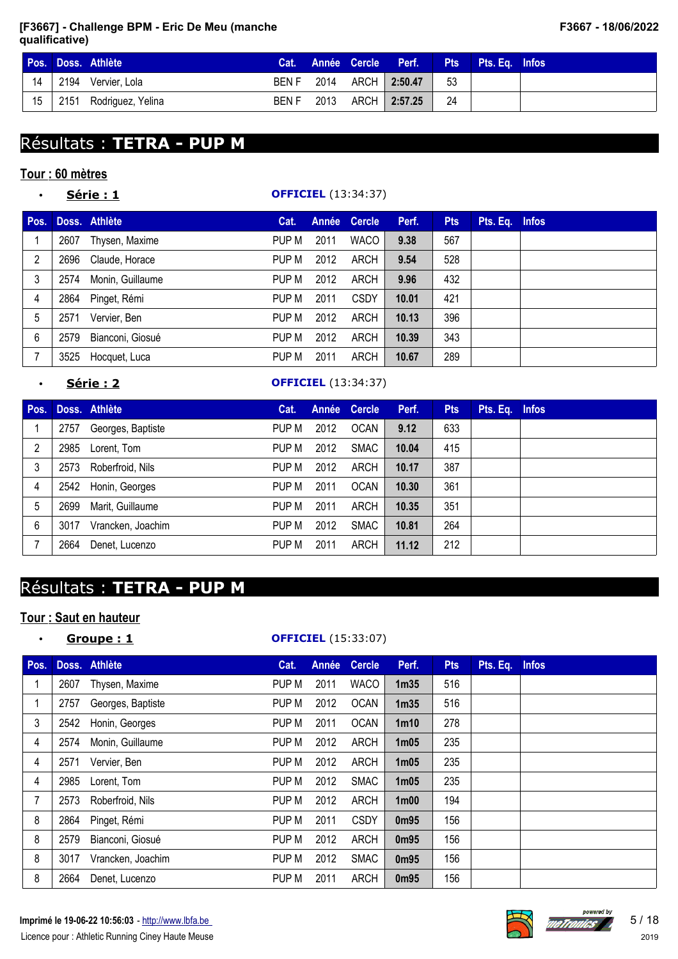|                 | Pos. Doss. Athlète     |       |  | Cat. Année Cercle Perf. |      | <b>Pts</b> Pts. Eq. Infos |  |
|-----------------|------------------------|-------|--|-------------------------|------|---------------------------|--|
| 14 <sub>1</sub> | 2194 Vervier, Lola     |       |  | BEN F 2014 ARCH 2:50.47 | - 53 |                           |  |
| 15 <sub>1</sub> | 2151 Rodriguez, Yelina | BEN F |  | 2013 ARCH 2:57.25       | - 24 |                           |  |

# Résultats : **TETRA - PUP M**

## **Tour : 60 mètres**

| $\bullet$ |      | Série : 1        |       |      | <b>OFFICIEL</b> (13:34:37) |       |            |                |  |
|-----------|------|------------------|-------|------|----------------------------|-------|------------|----------------|--|
| Pos.      |      | Doss. Athlète    | Cat.  |      | Année Cercle               | Perf. | <b>Pts</b> | Pts. Eq. Infos |  |
|           | 2607 | Thysen, Maxime   | PUP M | 2011 | <b>WACO</b>                | 9.38  | 567        |                |  |
| 2         | 2696 | Claude, Horace   | PUP M | 2012 | ARCH                       | 9.54  | 528        |                |  |
| 3         | 2574 | Monin, Guillaume | PUP M | 2012 | ARCH                       | 9.96  | 432        |                |  |
| 4         | 2864 | Pinget, Rémi     | PUP M | 2011 | <b>CSDY</b>                | 10.01 | 421        |                |  |
| 5         | 2571 | Vervier, Ben     | PUP M | 2012 | <b>ARCH</b>                | 10.13 | 396        |                |  |
| 6         | 2579 | Bianconi, Giosué | PUP M | 2012 | <b>ARCH</b>                | 10.39 | 343        |                |  |
| 7         | 3525 | Hocquet, Luca    | PUP M | 2011 | ARCH                       | 10.67 | 289        |                |  |

## • **Série : 2 OFFICIEL** (13:34:37)

| Pos. |      | Doss. Athlète       | Cat.  |      | Année Cercle | Perf. | <b>Pts</b> | Pts. Eq. Infos |  |
|------|------|---------------------|-------|------|--------------|-------|------------|----------------|--|
|      | 2757 | Georges, Baptiste   | PUP M | 2012 | <b>OCAN</b>  | 9.12  | 633        |                |  |
| 2    | 2985 | Lorent, Tom         | PUP M | 2012 | <b>SMAC</b>  | 10.04 | 415        |                |  |
| 3    | 2573 | Roberfroid, Nils    | PUP M | 2012 | ARCH         | 10.17 | 387        |                |  |
| 4    |      | 2542 Honin, Georges | PUP M | 2011 | <b>OCAN</b>  | 10.30 | 361        |                |  |
| 5    | 2699 | Marit, Guillaume    | PUP M | 2011 | ARCH         | 10.35 | 351        |                |  |
| 6    | 3017 | Vrancken, Joachim   | PUP M | 2012 | <b>SMAC</b>  | 10.81 | 264        |                |  |
|      | 2664 | Denet, Lucenzo      | PUP M | 2011 | ARCH         | 11.12 | 212        |                |  |

# Résultats : **TETRA - PUP M**

# **Tour : Saut en hauteur**

| $\bullet$ |      | Groupe: 1         | <b>OFFICIEL</b> (15:33:07) |       |               |                               |            |                |  |  |  |
|-----------|------|-------------------|----------------------------|-------|---------------|-------------------------------|------------|----------------|--|--|--|
| Pos.      |      | Doss. Athlète     | Cat.                       | Année | <b>Cercle</b> | Perf.                         | <b>Pts</b> | Pts. Eq. Infos |  |  |  |
| 1         | 2607 | Thysen, Maxime    | PUP M                      | 2011  | <b>WACO</b>   | 1 <sub>m35</sub>              | 516        |                |  |  |  |
| 1         | 2757 | Georges, Baptiste | PUP M                      | 2012  | <b>OCAN</b>   | 1 <sub>m35</sub>              | 516        |                |  |  |  |
| 3         | 2542 | Honin, Georges    | PUP M                      | 2011  | <b>OCAN</b>   | 1 <sub>m10</sub>              | 278        |                |  |  |  |
| 4         | 2574 | Monin, Guillaume  | PUP M                      | 2012  | ARCH          | 1 <sub>m05</sub>              | 235        |                |  |  |  |
| 4         | 2571 | Vervier, Ben      | PUP M                      | 2012  | <b>ARCH</b>   | 1 <sub>m05</sub>              | 235        |                |  |  |  |
| 4         | 2985 | Lorent, Tom       | PUP M                      | 2012  | <b>SMAC</b>   | 1 <sub>m05</sub>              | 235        |                |  |  |  |
| 7         | 2573 | Roberfroid, Nils  | PUP M                      | 2012  | <b>ARCH</b>   | 1 <sub>m</sub> 0 <sub>0</sub> | 194        |                |  |  |  |
| 8         | 2864 | Pinget, Rémi      | PUP M                      | 2011  | <b>CSDY</b>   | 0 <sub>m</sub> 95             | 156        |                |  |  |  |
| 8         | 2579 | Bianconi, Giosué  | PUP M                      | 2012  | <b>ARCH</b>   | 0m95                          | 156        |                |  |  |  |
| 8         | 3017 | Vrancken, Joachim | PUP M                      | 2012  | <b>SMAC</b>   | 0m95                          | 156        |                |  |  |  |
| 8         | 2664 | Denet, Lucenzo    | PUP M                      | 2011  | <b>ARCH</b>   | 0 <sub>m</sub> 95             | 156        |                |  |  |  |

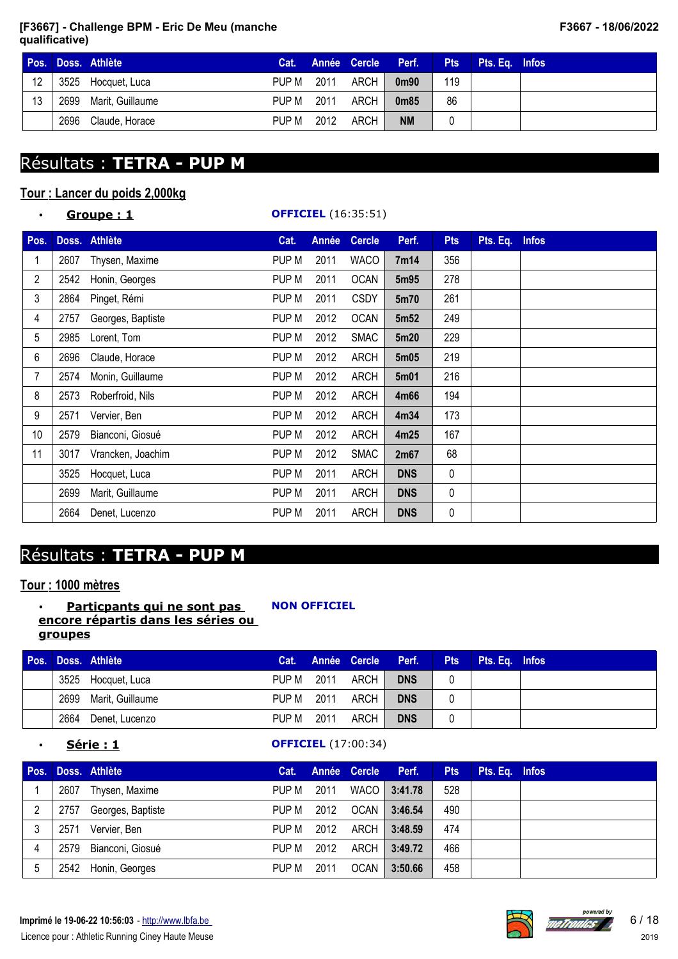|    |      | Pos. Doss. Athlète    | Cat.       |      | Année Cercle Perf. |                   | <b>Pts</b> | Pts. Eq. Infos |  |
|----|------|-----------------------|------------|------|--------------------|-------------------|------------|----------------|--|
| 12 |      | 3525 Hocquet, Luca    | PUP M      | 2011 | ARCH               | 0 <sub>m90</sub>  | 119        |                |  |
| 13 |      | 2699 Marit, Guillaume | PUP M 2011 |      | ARCH,              | 0 <sub>m</sub> 85 | 86         |                |  |
|    | 2696 | Claude, Horace        | PUP M      | 2012 | ARCH               | <b>NM</b>         |            |                |  |

# Résultats : **TETRA - PUP M**

## **Tour : Lancer du poids 2,000kg**

| $\bullet$       |      | Groupe: 1         |       |              | <b>OFFICIEL</b> (16:35:51) |                  |            |          |              |
|-----------------|------|-------------------|-------|--------------|----------------------------|------------------|------------|----------|--------------|
| Pos.            |      | Doss. Athlète     | Cat.  | <b>Année</b> | <b>Cercle</b>              | Perf.            | <b>Pts</b> | Pts. Eq. | <b>Infos</b> |
|                 | 2607 | Thysen, Maxime    | PUP M | 2011         | <b>WACO</b>                | 7m14             | 356        |          |              |
| $\overline{2}$  | 2542 | Honin, Georges    | PUP M | 2011         | <b>OCAN</b>                | 5m95             | 278        |          |              |
| 3               | 2864 | Pinget, Rémi      | PUP M | 2011         | <b>CSDY</b>                | 5m70             | 261        |          |              |
| 4               | 2757 | Georges, Baptiste | PUP M | 2012         | <b>OCAN</b>                | 5m <sub>52</sub> | 249        |          |              |
| 5               | 2985 | Lorent, Tom       | PUP M | 2012         | <b>SMAC</b>                | 5m20             | 229        |          |              |
| 6               | 2696 | Claude, Horace    | PUP M | 2012         | <b>ARCH</b>                | 5m05             | 219        |          |              |
| 7               | 2574 | Monin, Guillaume  | PUP M | 2012         | ARCH                       | 5m01             | 216        |          |              |
| 8               | 2573 | Roberfroid, Nils  | PUP M | 2012         | <b>ARCH</b>                | 4m66             | 194        |          |              |
| 9               | 2571 | Vervier, Ben      | PUP M | 2012         | <b>ARCH</b>                | 4m34             | 173        |          |              |
| 10 <sup>°</sup> | 2579 | Bianconi, Giosué  | PUP M | 2012         | <b>ARCH</b>                | 4m25             | 167        |          |              |
| 11              | 3017 | Vrancken, Joachim | PUP M | 2012         | <b>SMAC</b>                | 2m67             | 68         |          |              |
|                 | 3525 | Hocquet, Luca     | PUP M | 2011         | <b>ARCH</b>                | <b>DNS</b>       | 0          |          |              |
|                 | 2699 | Marit, Guillaume  | PUP M | 2011         | <b>ARCH</b>                | <b>DNS</b>       | 0          |          |              |
|                 | 2664 | Denet, Lucenzo    | PUP M | 2011         | <b>ARCH</b>                | <b>DNS</b>       | 0          |          |              |

# Résultats : **TETRA - PUP M**

## **Tour : 1000 mètres**

#### • **Particpants qui ne sont pas encore répartis dans les séries ou groupes**

**NON OFFICIEL**

# **Pos. Doss. Athlète Cat. Année Cercle Perf. Pts Pts. Eq. Infos** 3525 Hocquet, Luca PUP M 2011 ARCH **DNS** 0 2699 Marit, Guillaume PUP M 2011 ARCH **DNS** 0 2664 Denet, Lucenzo PUP M 2011 ARCH **DNS** 0

## **<u>Série : 1</u> OFFICIEL** (17:00:34)

| Pos. |      | Doss. Athlète       | Cat.  |      | Année Cercle | Perf.        | <b>Pts</b> | Pts. Eq. Infos |  |
|------|------|---------------------|-------|------|--------------|--------------|------------|----------------|--|
|      | 2607 | Thysen, Maxime      | PUP M | 2011 |              | WACO 3:41.78 | 528        |                |  |
| 2    | 2757 | Georges, Baptiste   | PUP M | 2012 | OCAN         | 3:46.54      | 490        |                |  |
|      | 2571 | Vervier, Ben        | PUP M | 2012 | ARCH         | 3:48.59      | 474        |                |  |
| 4    | 2579 | Bianconi, Giosué    | PUP M | 2012 | ARCH         | 3:49.72      | 466        |                |  |
| 5    |      | 2542 Honin, Georges | PUP M | 2011 | <b>OCAN</b>  | 3:50.66      | 458        |                |  |

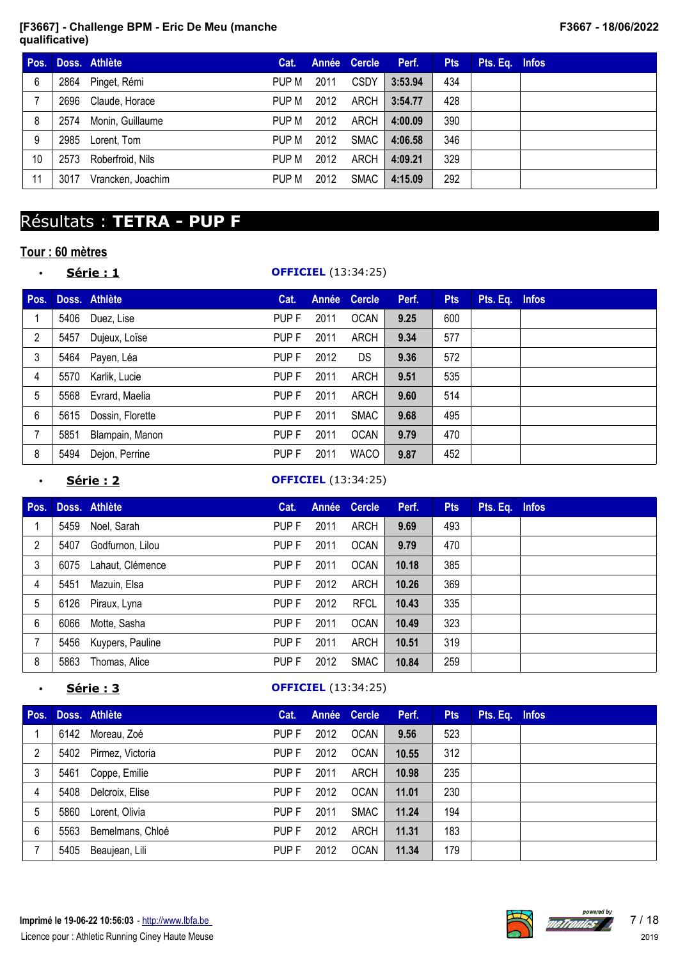| Pos. |      | Doss. Athlète     | Cat.  |      | Année Cercle | Perf.   | <b>Pts</b> | Pts. Eq. Infos |  |
|------|------|-------------------|-------|------|--------------|---------|------------|----------------|--|
| 6    | 2864 | Pinget, Rémi      | PUP M | 2011 | <b>CSDY</b>  | 3:53.94 | 434        |                |  |
|      | 2696 | Claude, Horace    | PUP M | 2012 | ARCH         | 3:54.77 | 428        |                |  |
| 8    | 2574 | Monin, Guillaume  | PUP M | 2012 | ARCH         | 4:00.09 | 390        |                |  |
| 9    | 2985 | Lorent, Tom       | PUP M | 2012 | SMAC         | 4:06.58 | 346        |                |  |
| 10   | 2573 | Roberfroid, Nils  | PUP M | 2012 | ARCH         | 4:09.21 | 329        |                |  |
| 11   | 3017 | Vrancken, Joachim | PUP M | 2012 | <b>SMAC</b>  | 4:15.09 | 292        |                |  |

# Résultats : **TETRA - PUP F**

# **Tour : 60 mètres**

### • **Série : 1 OFFICIEL** (13:34:25)

| Pos. |      | Doss. Athlète    | Cat.             | Année | <b>Cercle</b> | Perf. | <b>Pts</b> | Pts. Eq. Infos |  |
|------|------|------------------|------------------|-------|---------------|-------|------------|----------------|--|
|      | 5406 | Duez, Lise       | PUP F            | 2011  | <b>OCAN</b>   | 9.25  | 600        |                |  |
| 2    | 5457 | Dujeux, Loïse    | PUP F            | 2011  | ARCH          | 9.34  | 577        |                |  |
| 3    |      | 5464 Payen, Léa  | PUP F            | 2012  | DS            | 9.36  | 572        |                |  |
| 4    | 5570 | Karlik, Lucie    | PUP F            | 2011  | ARCH          | 9.51  | 535        |                |  |
| 5    | 5568 | Evrard, Maelia   | PUP <sub>F</sub> | 2011  | ARCH          | 9.60  | 514        |                |  |
| 6    | 5615 | Dossin, Florette | PUP F            | 2011  | <b>SMAC</b>   | 9.68  | 495        |                |  |
|      | 5851 | Blampain, Manon  | PUP F            | 2011  | <b>OCAN</b>   | 9.79  | 470        |                |  |
| 8    | 5494 | Dejon, Perrine   | PUP F            | 2011  | <b>WACO</b>   | 9.87  | 452        |                |  |

### • **Série : 2 OFFICIEL** (13:34:25)

|      |                  | Cat.          |      |             | Perf.        | <b>Pts</b> | Pts. Eq. Infos |  |
|------|------------------|---------------|------|-------------|--------------|------------|----------------|--|
| 5459 | Noel, Sarah      | PUP F         | 2011 | <b>ARCH</b> | 9.69         | 493        |                |  |
| 5407 | Godfurnon, Lilou | PUP F         | 2011 | <b>OCAN</b> | 9.79         | 470        |                |  |
| 6075 | Lahaut, Clémence | PUP F         | 2011 | <b>OCAN</b> | 10.18        | 385        |                |  |
| 5451 | Mazuin, Elsa     | PUP F         | 2012 | ARCH        | 10.26        | 369        |                |  |
| 6126 | Piraux, Lyna     | PUP F         | 2012 | <b>RFCL</b> | 10.43        | 335        |                |  |
| 6066 | Motte, Sasha     | PUP F         | 2011 | <b>OCAN</b> | 10.49        | 323        |                |  |
| 5456 | Kuypers, Pauline | PUP F         | 2011 | ARCH        | 10.51        | 319        |                |  |
| 5863 | Thomas, Alice    | PUP F         | 2012 | <b>SMAC</b> | 10.84        | 259        |                |  |
|      |                  | Doss. Athlète |      |             | Année Cercle |            |                |  |

### • **Série : 3 OFFICIEL** (13:34:25)

| Pos. |      | Doss. Athlète    | Cat.  |      | Année Cercle | Perf. | <b>Pts</b> | Pts. Eq. Infos |  |
|------|------|------------------|-------|------|--------------|-------|------------|----------------|--|
|      | 6142 | Moreau, Zoé      | PUP F | 2012 | <b>OCAN</b>  | 9.56  | 523        |                |  |
| 2    | 5402 | Pirmez, Victoria | PUP F | 2012 | <b>OCAN</b>  | 10.55 | 312        |                |  |
| 3    | 5461 | Coppe, Emilie    | PUP F | 2011 | ARCH         | 10.98 | 235        |                |  |
| 4    | 5408 | Delcroix, Elise  | PUP F | 2012 | <b>OCAN</b>  | 11.01 | 230        |                |  |
| 5    | 5860 | Lorent, Olivia   | PUP F | 2011 | SMAC         | 11.24 | 194        |                |  |
| 6    | 5563 | Bemelmans, Chloé | PUP F | 2012 | ARCH         | 11.31 | 183        |                |  |
|      | 5405 | Beaujean, Lili   | PUP F | 2012 | <b>OCAN</b>  | 11.34 | 179        |                |  |



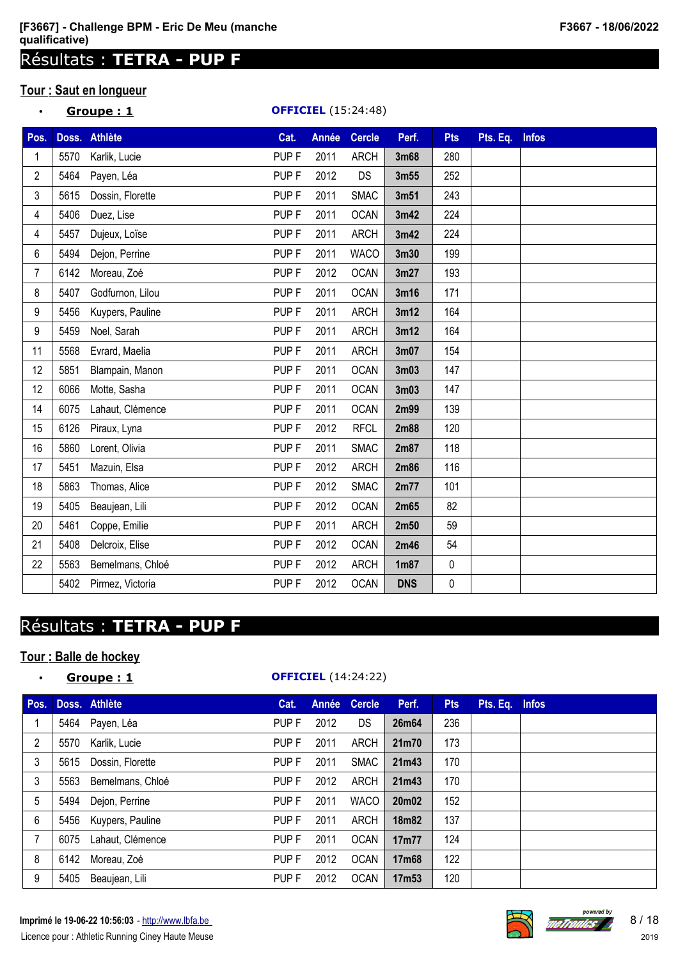# Résultats : **TETRA - PUP F**

## **Tour : Saut en longueur**

| $\bullet$      |      | Groupe: 1        |                  |              | <b>OFFICIEL</b> (15:24:48) |            |            |          |              |
|----------------|------|------------------|------------------|--------------|----------------------------|------------|------------|----------|--------------|
| Pos.           |      | Doss. Athlète    | Cat.             | <b>Année</b> | <b>Cercle</b>              | Perf.      | <b>Pts</b> | Pts. Eq. | <b>Infos</b> |
|                | 5570 | Karlik, Lucie    | PUP <sub>F</sub> | 2011         | <b>ARCH</b>                | 3m68       | 280        |          |              |
| $\overline{2}$ | 5464 | Payen, Léa       | PUP <sub>F</sub> | 2012         | DS                         | 3m55       | 252        |          |              |
| 3              | 5615 | Dossin, Florette | PUP <sub>F</sub> | 2011         | <b>SMAC</b>                | 3m51       | 243        |          |              |
| 4              | 5406 | Duez, Lise       | PUP <sub>F</sub> | 2011         | <b>OCAN</b>                | 3m42       | 224        |          |              |
| 4              | 5457 | Dujeux, Loïse    | PUP <sub>F</sub> | 2011         | <b>ARCH</b>                | 3m42       | 224        |          |              |
| 6              | 5494 | Dejon, Perrine   | PUP <sub>F</sub> | 2011         | <b>WACO</b>                | 3m30       | 199        |          |              |
| 7              | 6142 | Moreau, Zoé      | PUP <sub>F</sub> | 2012         | <b>OCAN</b>                | 3m27       | 193        |          |              |
| 8              | 5407 | Godfurnon, Lilou | PUP <sub>F</sub> | 2011         | <b>OCAN</b>                | 3m16       | 171        |          |              |
| 9              | 5456 | Kuypers, Pauline | PUP <sub>F</sub> | 2011         | <b>ARCH</b>                | 3m12       | 164        |          |              |
| 9              | 5459 | Noel, Sarah      | PUP <sub>F</sub> | 2011         | <b>ARCH</b>                | 3m12       | 164        |          |              |
| 11             | 5568 | Evrard, Maelia   | PUP <sub>F</sub> | 2011         | <b>ARCH</b>                | 3m07       | 154        |          |              |
| 12             | 5851 | Blampain, Manon  | PUP <sub>F</sub> | 2011         | <b>OCAN</b>                | 3m03       | 147        |          |              |
| 12             | 6066 | Motte, Sasha     | PUP <sub>F</sub> | 2011         | <b>OCAN</b>                | 3m03       | 147        |          |              |
| 14             | 6075 | Lahaut, Clémence | PUP <sub>F</sub> | 2011         | <b>OCAN</b>                | 2m99       | 139        |          |              |
| 15             | 6126 | Piraux, Lyna     | PUP <sub>F</sub> | 2012         | <b>RFCL</b>                | 2m88       | 120        |          |              |
| 16             | 5860 | Lorent, Olivia   | PUP <sub>F</sub> | 2011         | <b>SMAC</b>                | 2m87       | 118        |          |              |
| 17             | 5451 | Mazuin, Elsa     | PUP <sub>F</sub> | 2012         | <b>ARCH</b>                | 2m86       | 116        |          |              |
| 18             | 5863 | Thomas, Alice    | PUP <sub>F</sub> | 2012         | <b>SMAC</b>                | 2m77       | 101        |          |              |
| 19             | 5405 | Beaujean, Lili   | PUP <sub>F</sub> | 2012         | <b>OCAN</b>                | 2m65       | 82         |          |              |
| 20             | 5461 | Coppe, Emilie    | PUP <sub>F</sub> | 2011         | <b>ARCH</b>                | 2m50       | 59         |          |              |
| 21             | 5408 | Delcroix, Elise  | PUP <sub>F</sub> | 2012         | <b>OCAN</b>                | 2m46       | 54         |          |              |
| 22             | 5563 | Bemelmans, Chloé | PUP <sub>F</sub> | 2012         | <b>ARCH</b>                | 1m87       | $\pmb{0}$  |          |              |
|                | 5402 | Pirmez, Victoria | PUP <sub>F</sub> | 2012         | <b>OCAN</b>                | <b>DNS</b> | 0          |          |              |

# Résultats : **TETRA - PUP F**

# **Tour : Balle de hockey**

| $\bullet$      |      | Groupe:1              |                  |       | <b>OFFICIEL</b> (14:24:22) |       |            |                |  |
|----------------|------|-----------------------|------------------|-------|----------------------------|-------|------------|----------------|--|
|                |      | Pos. Doss. Athlète    | Cat.             | Année | <b>Cercle</b>              | Perf. | <b>Pts</b> | Pts. Eq. Infos |  |
| 1              |      | 5464 Payen, Léa       | PUP F            | 2012  | DS                         | 26m64 | 236        |                |  |
| $\overline{2}$ | 5570 | Karlik, Lucie         | PUP F            | 2011  | ARCH                       | 21m70 | 173        |                |  |
| 3              | 5615 | Dossin, Florette      | PUP F            | 2011  | <b>SMAC</b>                | 21m43 | 170        |                |  |
| 3              | 5563 | Bemelmans, Chloé      | PUP F            | 2012  | ARCH                       | 21m43 | 170        |                |  |
| 5              |      | 5494 Dejon, Perrine   | PUP F            | 2011  | <b>WACO</b>                | 20m02 | 152        |                |  |
| 6              |      | 5456 Kuypers, Pauline | PUP F            | 2011  | ARCH                       | 18m82 | 137        |                |  |
| $\overline{7}$ | 6075 | Lahaut, Clémence      | PUP <sub>F</sub> | 2011  | <b>OCAN</b>                | 17m77 | 124        |                |  |
| 8              | 6142 | Moreau, Zoé           | PUP F            | 2012  | <b>OCAN</b>                | 17m68 | 122        |                |  |
| 9              | 5405 | Beaujean, Lili        | PUP F            | 2012  | <b>OCAN</b>                | 17m53 | 120        |                |  |

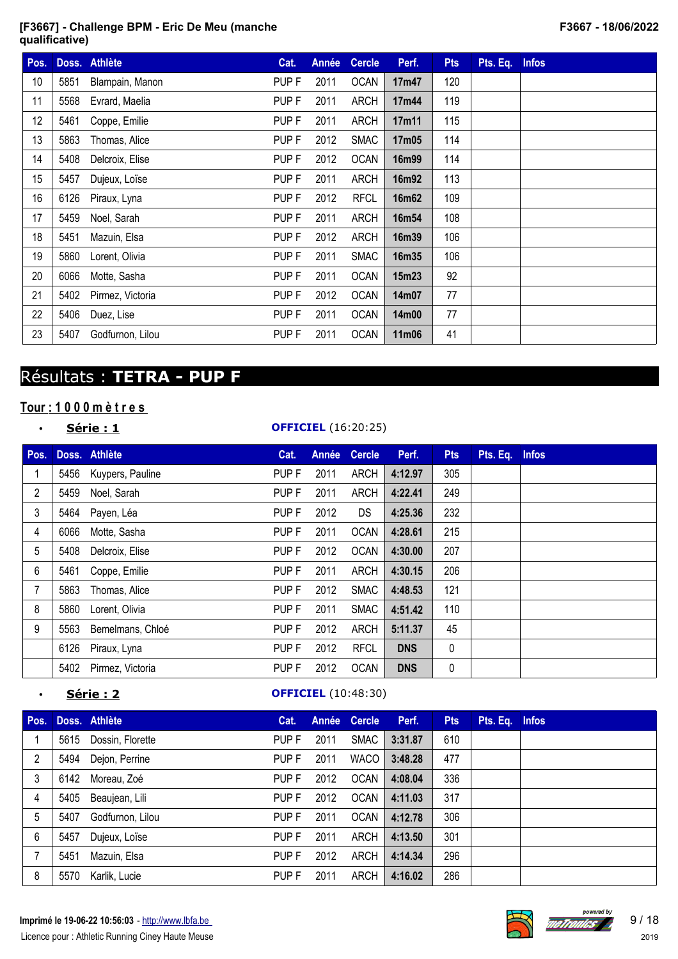| Pos.            |      | Doss. Athlète         | Cat.             | Année | <b>Cercle</b> | Perf. | <b>Pts</b> | Pts. Eq. Infos |  |
|-----------------|------|-----------------------|------------------|-------|---------------|-------|------------|----------------|--|
| 10 <sup>1</sup> | 5851 | Blampain, Manon       | PUP F            | 2011  | <b>OCAN</b>   | 17m47 | 120        |                |  |
| 11              | 5568 | Evrard, Maelia        | PUP F            | 2011  | <b>ARCH</b>   | 17m44 | 119        |                |  |
| 12              | 5461 | Coppe, Emilie         | PUP <sub>F</sub> | 2011  | <b>ARCH</b>   | 17m11 | 115        |                |  |
| 13              | 5863 | Thomas, Alice         | PUP F            | 2012  | <b>SMAC</b>   | 17m05 | 114        |                |  |
| 14              | 5408 | Delcroix, Elise       | PUP <sub>F</sub> | 2012  | <b>OCAN</b>   | 16m99 | 114        |                |  |
| 15              | 5457 | Dujeux, Loïse         | PUP F            | 2011  | <b>ARCH</b>   | 16m92 | 113        |                |  |
| 16              | 6126 | Piraux, Lyna          | PUP F            | 2012  | <b>RFCL</b>   | 16m62 | 109        |                |  |
| 17              | 5459 | Noel, Sarah           | PUP F            | 2011  | <b>ARCH</b>   | 16m54 | 108        |                |  |
| 18              | 5451 | Mazuin, Elsa          | PUP F            | 2012  | <b>ARCH</b>   | 16m39 | 106        |                |  |
| 19              | 5860 | Lorent, Olivia        | PUP F            | 2011  | <b>SMAC</b>   | 16m35 | 106        |                |  |
| 20              | 6066 | Motte, Sasha          | PUP F            | 2011  | <b>OCAN</b>   | 15m23 | 92         |                |  |
| 21              |      | 5402 Pirmez, Victoria | PUP F            | 2012  | <b>OCAN</b>   | 14m07 | 77         |                |  |
| 22              | 5406 | Duez, Lise            | PUP F            | 2011  | <b>OCAN</b>   | 14m00 | 77         |                |  |
| 23              | 5407 | Godfurnon, Lilou      | PUP F            | 2011  | <b>OCAN</b>   | 11m06 | 41         |                |  |

# Résultats : **TETRA - PUP F**

# **Tour : 1 0 0 0 m è t r e s**

|--|

#### • **Série : 1 OFFICIEL** (16:20:25)

| Pos.           |      | Doss. Athlète         | Cat.             | Année | <b>Cercle</b> | Perf.      | <b>Pts</b> | Pts. Eq. Infos |  |
|----------------|------|-----------------------|------------------|-------|---------------|------------|------------|----------------|--|
|                |      | 5456 Kuypers, Pauline | PUP F            | 2011  | <b>ARCH</b>   | 4:12.97    | 305        |                |  |
| $\overline{2}$ |      | 5459 Noel, Sarah      | PUP F            | 2011  | <b>ARCH</b>   | 4:22.41    | 249        |                |  |
| 3              | 5464 | Payen, Léa            | PUP F            | 2012  | DS.           | 4:25.36    | 232        |                |  |
| 4              | 6066 | Motte, Sasha          | PUP F            | 2011  | <b>OCAN</b>   | 4:28.61    | 215        |                |  |
| 5              | 5408 | Delcroix, Elise       | PUP F            | 2012  | <b>OCAN</b>   | 4:30.00    | 207        |                |  |
| 6              | 5461 | Coppe, Emilie         | PUP F            | 2011  | <b>ARCH</b>   | 4:30.15    | 206        |                |  |
| 7              | 5863 | Thomas, Alice         | PUP F            | 2012  | <b>SMAC</b>   | 4:48.53    | 121        |                |  |
| 8              | 5860 | Lorent, Olivia        | PUP F            | 2011  | <b>SMAC</b>   | 4:51.42    | 110        |                |  |
| 9              | 5563 | Bemelmans, Chloé      | PUP <sub>F</sub> | 2012  | <b>ARCH</b>   | 5:11.37    | 45         |                |  |
|                | 6126 | Piraux, Lyna          | PUP F            | 2012  | <b>RFCL</b>   | <b>DNS</b> | 0          |                |  |
|                | 5402 | Pirmez, Victoria      | PUP <sub>F</sub> | 2012  | <b>OCAN</b>   | <b>DNS</b> | 0          |                |  |

## **<u>Série : 2</u> OFFICIEL** (10:48:30)

| Pos. |      | Doss. Athlète    | Cat.  |      | Année Cercle | Perf.   | <b>Pts</b> | Pts. Eq. Infos |  |
|------|------|------------------|-------|------|--------------|---------|------------|----------------|--|
|      | 5615 | Dossin, Florette | PUP F | 2011 | <b>SMAC</b>  | 3:31.87 | 610        |                |  |
| 2    | 5494 | Dejon, Perrine   | PUP F | 2011 | <b>WACO</b>  | 3:48.28 | 477        |                |  |
| 3    | 6142 | Moreau, Zoé      | PUP F | 2012 | <b>OCAN</b>  | 4:08.04 | 336        |                |  |
| 4    | 5405 | Beaujean, Lili   | PUP F | 2012 | <b>OCAN</b>  | 4:11.03 | 317        |                |  |
| 5    | 5407 | Godfurnon, Lilou | PUP F | 2011 | <b>OCAN</b>  | 4:12.78 | 306        |                |  |
| 6    | 5457 | Dujeux, Loïse    | PUP F | 2011 | <b>ARCH</b>  | 4:13.50 | 301        |                |  |
|      | 5451 | Mazuin, Elsa     | PUP F | 2012 | <b>ARCH</b>  | 4:14.34 | 296        |                |  |
| 8    | 5570 | Karlik, Lucie    | PUP F | 2011 | ARCH         | 4:16.02 | 286        |                |  |

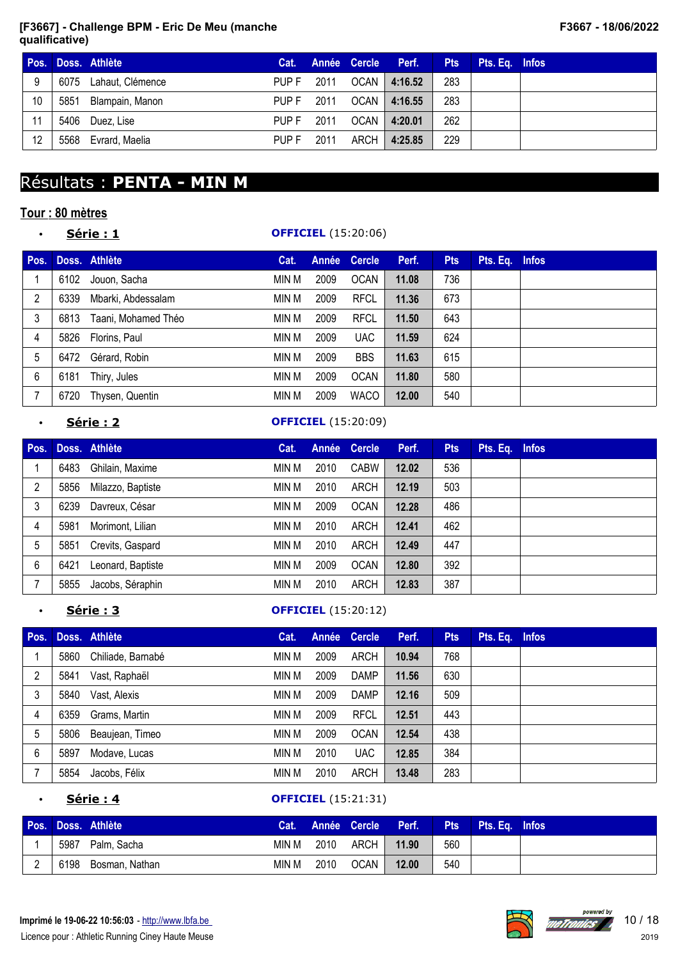|     |      | Pos. Doss. Athlète    |                  |      |        | Cat. Année Cercle Perf. | <b>Pts</b> | Pts. Eq. Infos |  |
|-----|------|-----------------------|------------------|------|--------|-------------------------|------------|----------------|--|
| - 9 |      | 6075 Lahaut, Clémence | PUP F            | 2011 |        | OCAN   4:16.52          | 283        |                |  |
| 10  | 5851 | Blampain, Manon       | PUP F            | 2011 |        | OCAN   4:16.55          | 283        |                |  |
| 11  |      | 5406 Duez, Lise       | PUP F            | 2011 | OCAN I | 4:20.01                 | 262        |                |  |
| 12  |      | 5568 Evrard, Maelia   | PUP <sub>F</sub> | 2011 | ARCH   | 4:25.85                 | 229        |                |  |

# Résultats : **PENTA - MIN M**

## **Tour : 80 mètres**

| ٠    | Série : 1 |                      |       |       | <b>OFFICIEL</b> (15:20:06) |       |            |                |  |
|------|-----------|----------------------|-------|-------|----------------------------|-------|------------|----------------|--|
| Pos. |           | Doss. Athlète        | Cat.  | Année | <b>Cercle</b>              | Perf. | <b>Pts</b> | Pts. Eq. Infos |  |
|      | 6102      | Jouon, Sacha         | min M | 2009  | <b>OCAN</b>                | 11.08 | 736        |                |  |
| 2    | 6339      | Mbarki, Abdessalam   | MIN M | 2009  | <b>RFCL</b>                | 11.36 | 673        |                |  |
| 3    | 6813      | Taani, Mohamed Théo  | MIN M | 2009  | <b>RFCL</b>                | 11.50 | 643        |                |  |
| 4    |           | 5826 Florins, Paul   | MIN M | 2009  | <b>UAC</b>                 | 11.59 | 624        |                |  |
| 5    | 6472      | Gérard, Robin        | MIN M | 2009  | <b>BBS</b>                 | 11.63 | 615        |                |  |
| 6    | 6181      | Thiry, Jules         | MIN M | 2009  | <b>OCAN</b>                | 11.80 | 580        |                |  |
|      |           | 6720 Thysen, Quentin | MIN M | 2009  | <b>WACO</b>                | 12.00 | 540        |                |  |

## • **Série : 2 OFFICIEL** (15:20:09)

| Pos. |      | Doss. Athlète     | Cat.  |      | Année Cercle | Perf. | <b>Pts</b> | Pts. Eq. Infos |  |
|------|------|-------------------|-------|------|--------------|-------|------------|----------------|--|
|      | 6483 | Ghilain, Maxime   | MIN M | 2010 | <b>CABW</b>  | 12.02 | 536        |                |  |
| 2    | 5856 | Milazzo, Baptiste | MIN M | 2010 | ARCH         | 12.19 | 503        |                |  |
| 3    | 6239 | Davreux, César    | MIN M | 2009 | <b>OCAN</b>  | 12.28 | 486        |                |  |
| 4    | 5981 | Morimont, Lilian  | MIN M | 2010 | ARCH         | 12.41 | 462        |                |  |
| 5    | 5851 | Crevits, Gaspard  | MIN M | 2010 | ARCH         | 12.49 | 447        |                |  |
| 6    | 6421 | Leonard, Baptiste | MIN M | 2009 | <b>OCAN</b>  | 12.80 | 392        |                |  |
|      | 5855 | Jacobs, Séraphin  | min M | 2010 | ARCH         | 12.83 | 387        |                |  |

## • **Série : 3 OFFICIEL** (15:20:12)

| Pos.           |      | Doss. Athlète     | Cat.  |      | Année Cercle | Perf. | <b>Pts</b> | Pts. Eq. Infos |  |
|----------------|------|-------------------|-------|------|--------------|-------|------------|----------------|--|
|                | 5860 | Chiliade, Barnabé | MIN M | 2009 | ARCH         | 10.94 | 768        |                |  |
| $\overline{2}$ | 5841 | Vast, Raphaël     | MIN M | 2009 | DAMP         | 11.56 | 630        |                |  |
| 3              | 5840 | Vast, Alexis      | min M | 2009 | DAMP         | 12.16 | 509        |                |  |
| 4              | 6359 | Grams, Martin     | MIN M | 2009 | <b>RFCL</b>  | 12.51 | 443        |                |  |
| 5              | 5806 | Beaujean, Timeo   | MIN M | 2009 | <b>OCAN</b>  | 12.54 | 438        |                |  |
| 6              | 5897 | Modave, Lucas     | MIN M | 2010 | <b>UAC</b>   | 12.85 | 384        |                |  |
|                | 5854 | Jacobs, Félix     | MIN M | 2010 | ARCH         | 13.48 | 283        |                |  |

## • **Série : 4 OFFICIEL** (15:21:31)

|      | Pos. Doss. Athlète |       |      |           | Cat. Année Cercle Perf. |     | <b>Pts</b> Pts. Eq. Infos |  |
|------|--------------------|-------|------|-----------|-------------------------|-----|---------------------------|--|
| 5987 | Palm, Sacha        | min M |      | 2010 ARCH | 11.90                   | 560 |                           |  |
| 6198 | Bosman, Nathan     | min M | 2010 | OCAN      | 12.00                   | 540 |                           |  |



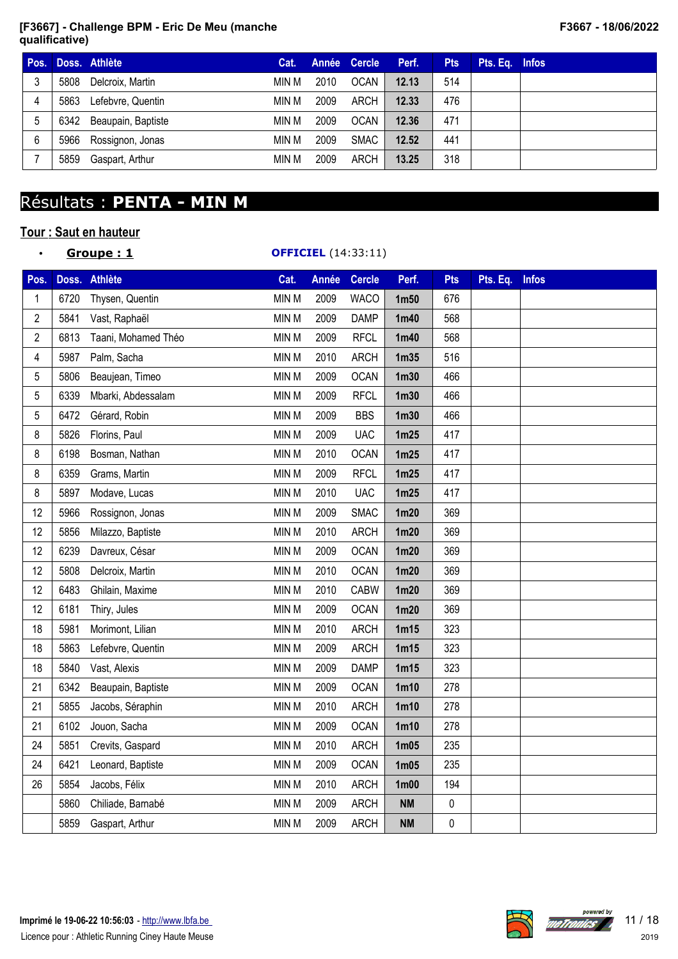| Pos. |      | Doss, Athlète      | Cat.  |      | Année Cercle | Perf. | <b>Pts</b> | Pts. Eq. Infos |  |
|------|------|--------------------|-------|------|--------------|-------|------------|----------------|--|
|      | 5808 | Delcroix, Martin   | MIN M | 2010 | OCAN         | 12.13 | 514        |                |  |
| 4    | 5863 | Lefebvre, Quentin  | MIN M | 2009 | ARCH         | 12.33 | 476        |                |  |
| 5    | 6342 | Beaupain, Baptiste | MIN M | 2009 | <b>OCAN</b>  | 12.36 | 471        |                |  |
| 6    | 5966 | Rossignon, Jonas   | MIN M | 2009 | SMAC         | 12.52 | 441        |                |  |
|      | 5859 | Gaspart, Arthur    | MIN M | 2009 | ARCH         | 13.25 | 318        |                |  |

# Résultats : **PENTA - MIN M**

## **Tour : Saut en hauteur**

## • **Groupe : 1 OFFICIEL** (14:33:11)

| Pos.           |      | Doss. Athlète       | Cat.         | <b>Année</b> | <b>Cercle</b> | Perf.             | <b>Pts</b> | Pts. Eq. Infos |  |
|----------------|------|---------------------|--------------|--------------|---------------|-------------------|------------|----------------|--|
| 1              | 6720 | Thysen, Quentin     | MIN M        | 2009         | <b>WACO</b>   | 1 <sub>m50</sub>  | 676        |                |  |
| 2              | 5841 | Vast, Raphaël       | <b>MIN M</b> | 2009         | <b>DAMP</b>   | 1 <sub>m40</sub>  | 568        |                |  |
| $\overline{2}$ | 6813 | Taani, Mohamed Théo | MIN M        | 2009         | <b>RFCL</b>   | 1 <sub>m40</sub>  | 568        |                |  |
| 4              | 5987 | Palm, Sacha         | MIN M        | 2010         | <b>ARCH</b>   | 1 <sub>m35</sub>  | 516        |                |  |
| 5              | 5806 | Beaujean, Timeo     | MIN M        | 2009         | <b>OCAN</b>   | 1 <sub>m30</sub>  | 466        |                |  |
| 5              | 6339 | Mbarki, Abdessalam  | <b>MIN M</b> | 2009         | <b>RFCL</b>   | 1 <sub>m30</sub>  | 466        |                |  |
| 5              | 6472 | Gérard, Robin       | MIN M        | 2009         | <b>BBS</b>    | 1 <sub>m30</sub>  | 466        |                |  |
| 8              | 5826 | Florins, Paul       | <b>MIN M</b> | 2009         | <b>UAC</b>    | 1m25              | 417        |                |  |
| 8              | 6198 | Bosman, Nathan      | <b>MIN M</b> | 2010         | <b>OCAN</b>   | 1m25              | 417        |                |  |
| 8              | 6359 | Grams, Martin       | MIN M        | 2009         | <b>RFCL</b>   | 1m25              | 417        |                |  |
| 8              | 5897 | Modave, Lucas       | MIN M        | 2010         | <b>UAC</b>    | 1m25              | 417        |                |  |
| 12             | 5966 | Rossignon, Jonas    | MIN M        | 2009         | <b>SMAC</b>   | 1 <sub>m20</sub>  | 369        |                |  |
| 12             | 5856 | Milazzo, Baptiste   | MIN M        | 2010         | <b>ARCH</b>   | 1 <sub>m20</sub>  | 369        |                |  |
| 12             | 6239 | Davreux, César      | MIN M        | 2009         | <b>OCAN</b>   | 1m20              | 369        |                |  |
| 12             | 5808 | Delcroix, Martin    | <b>MIN M</b> | 2010         | <b>OCAN</b>   | 1 <sub>m20</sub>  | 369        |                |  |
| 12             | 6483 | Ghilain, Maxime     | MIN M        | 2010         | <b>CABW</b>   | 1 <sub>m20</sub>  | 369        |                |  |
| 12             | 6181 | Thiry, Jules        | <b>MIN M</b> | 2009         | <b>OCAN</b>   | 1 <sub>m20</sub>  | 369        |                |  |
| 18             | 5981 | Morimont, Lilian    | MIN M        | 2010         | <b>ARCH</b>   | 1m15              | 323        |                |  |
| 18             | 5863 | Lefebvre, Quentin   | <b>MIN M</b> | 2009         | <b>ARCH</b>   | 1m15              | 323        |                |  |
| 18             | 5840 | Vast, Alexis        | MIN M        | 2009         | <b>DAMP</b>   | 1m15              | 323        |                |  |
| 21             | 6342 | Beaupain, Baptiste  | MIN M        | 2009         | <b>OCAN</b>   | 1 <sub>m10</sub>  | 278        |                |  |
| 21             | 5855 | Jacobs, Séraphin    | MIN M        | 2010         | <b>ARCH</b>   | 1 <sub>m10</sub>  | 278        |                |  |
| 21             | 6102 | Jouon, Sacha        | MIN M        | 2009         | <b>OCAN</b>   | 1 <sub>m10</sub>  | 278        |                |  |
| 24             | 5851 | Crevits, Gaspard    | <b>MIN M</b> | 2010         | <b>ARCH</b>   | 1m05              | 235        |                |  |
| 24             | 6421 | Leonard, Baptiste   | MIN M        | 2009         | <b>OCAN</b>   | 1 <sub>m05</sub>  | 235        |                |  |
| 26             | 5854 | Jacobs, Félix       | <b>MIN M</b> | 2010         | <b>ARCH</b>   | 1 <sub>m</sub> 00 | 194        |                |  |
|                | 5860 | Chiliade, Barnabé   | MIN M        | 2009         | <b>ARCH</b>   | <b>NM</b>         | $\pmb{0}$  |                |  |
|                | 5859 | Gaspart, Arthur     | MIN M        | 2009         | <b>ARCH</b>   | <b>NM</b>         | $\pmb{0}$  |                |  |



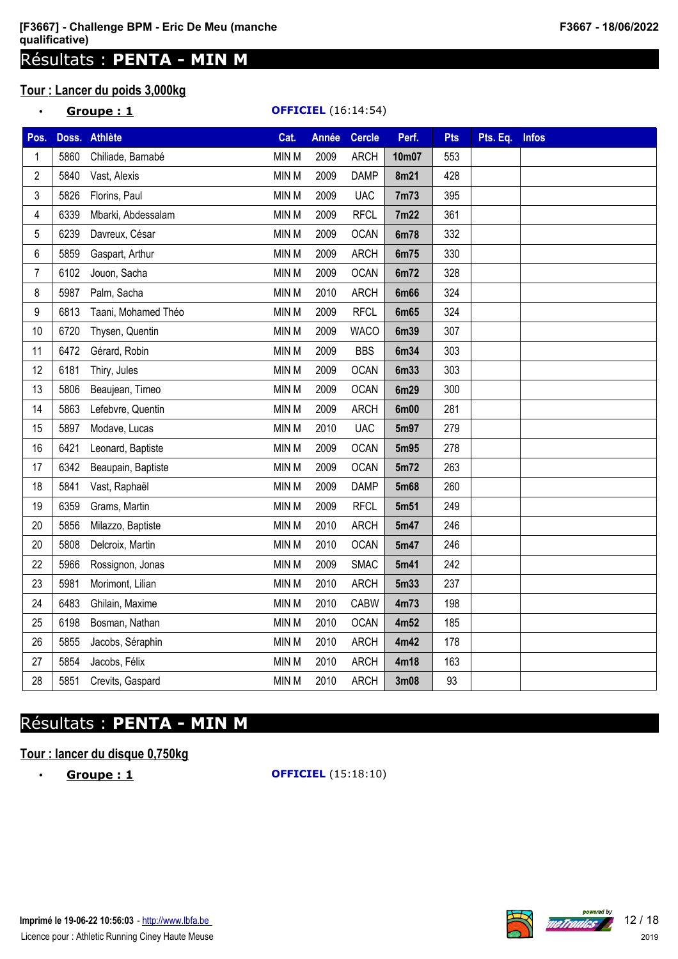# Résultats : **PENTA - MIN M**

# **Tour : Lancer du poids 3,000kg**

## • **Groupe : 1 OFFICIEL** (16:14:54)

| Pos.           | Doss. | <b>Athlète</b>      | Cat.         | <b>Année</b> | <b>Cercle</b> | Perf.       | <b>Pts</b> | Pts. Eq. | <b>Infos</b> |
|----------------|-------|---------------------|--------------|--------------|---------------|-------------|------------|----------|--------------|
| 1              | 5860  | Chiliade, Barnabé   | MIN M        | 2009         | <b>ARCH</b>   | 10m07       | 553        |          |              |
| $\overline{c}$ | 5840  | Vast, Alexis        | MIN M        | 2009         | <b>DAMP</b>   | 8m21        | 428        |          |              |
| 3              | 5826  | Florins, Paul       | MIN M        | 2009         | <b>UAC</b>    | 7m73        | 395        |          |              |
| 4              | 6339  | Mbarki, Abdessalam  | MIN M        | 2009         | <b>RFCL</b>   | 7m22        | 361        |          |              |
| 5              | 6239  | Davreux, César      | MIN M        | 2009         | <b>OCAN</b>   | 6m78        | 332        |          |              |
| 6              | 5859  | Gaspart, Arthur     | MIN M        | 2009         | <b>ARCH</b>   | 6m75        | 330        |          |              |
| 7              | 6102  | Jouon, Sacha        | MIN M        | 2009         | <b>OCAN</b>   | 6m72        | 328        |          |              |
| 8              | 5987  | Palm, Sacha         | MIN M        | 2010         | <b>ARCH</b>   | <b>6m66</b> | 324        |          |              |
| 9              | 6813  | Taani, Mohamed Théo | MIN M        | 2009         | <b>RFCL</b>   | 6m65        | 324        |          |              |
| 10             | 6720  | Thysen, Quentin     | MIN M        | 2009         | <b>WACO</b>   | 6m39        | 307        |          |              |
| 11             | 6472  | Gérard, Robin       | MIN M        | 2009         | <b>BBS</b>    | 6m34        | 303        |          |              |
| 12             | 6181  | Thiry, Jules        | MIN M        | 2009         | <b>OCAN</b>   | 6m33        | 303        |          |              |
| 13             | 5806  | Beaujean, Timeo     | MIN M        | 2009         | <b>OCAN</b>   | 6m29        | 300        |          |              |
| 14             | 5863  | Lefebvre, Quentin   | MIN M        | 2009         | <b>ARCH</b>   | 6m00        | 281        |          |              |
| 15             | 5897  | Modave, Lucas       | MIN M        | 2010         | <b>UAC</b>    | 5m97        | 279        |          |              |
| 16             | 6421  | Leonard, Baptiste   | MIN M        | 2009         | <b>OCAN</b>   | 5m95        | 278        |          |              |
| 17             | 6342  | Beaupain, Baptiste  | MIN M        | 2009         | <b>OCAN</b>   | 5m72        | 263        |          |              |
| 18             | 5841  | Vast, Raphaël       | MIN M        | 2009         | <b>DAMP</b>   | 5m68        | 260        |          |              |
| 19             | 6359  | Grams, Martin       | MIN M        | 2009         | <b>RFCL</b>   | 5m51        | 249        |          |              |
| 20             | 5856  | Milazzo, Baptiste   | MIN M        | 2010         | <b>ARCH</b>   | 5m47        | 246        |          |              |
| 20             | 5808  | Delcroix, Martin    | MIN M        | 2010         | <b>OCAN</b>   | 5m47        | 246        |          |              |
| 22             | 5966  | Rossignon, Jonas    | <b>MIN M</b> | 2009         | <b>SMAC</b>   | 5m41        | 242        |          |              |
| 23             | 5981  | Morimont, Lilian    | MIN M        | 2010         | <b>ARCH</b>   | 5m33        | 237        |          |              |
| 24             | 6483  | Ghilain, Maxime     | MIN M        | 2010         | <b>CABW</b>   | 4m73        | 198        |          |              |
| 25             | 6198  | Bosman, Nathan      | MIN M        | 2010         | <b>OCAN</b>   | 4m52        | 185        |          |              |
| 26             | 5855  | Jacobs, Séraphin    | MIN M        | 2010         | <b>ARCH</b>   | 4m42        | 178        |          |              |
| 27             | 5854  | Jacobs, Félix       | MIN M        | 2010         | <b>ARCH</b>   | 4m18        | 163        |          |              |
| 28             | 5851  | Crevits, Gaspard    | MIN M        | 2010         | <b>ARCH</b>   | 3m08        | 93         |          |              |

# Résultats : **PENTA - MIN M**

## **Tour : lancer du disque 0,750kg**

• **Groupe : 1 OFFICIEL** (15:18:10)

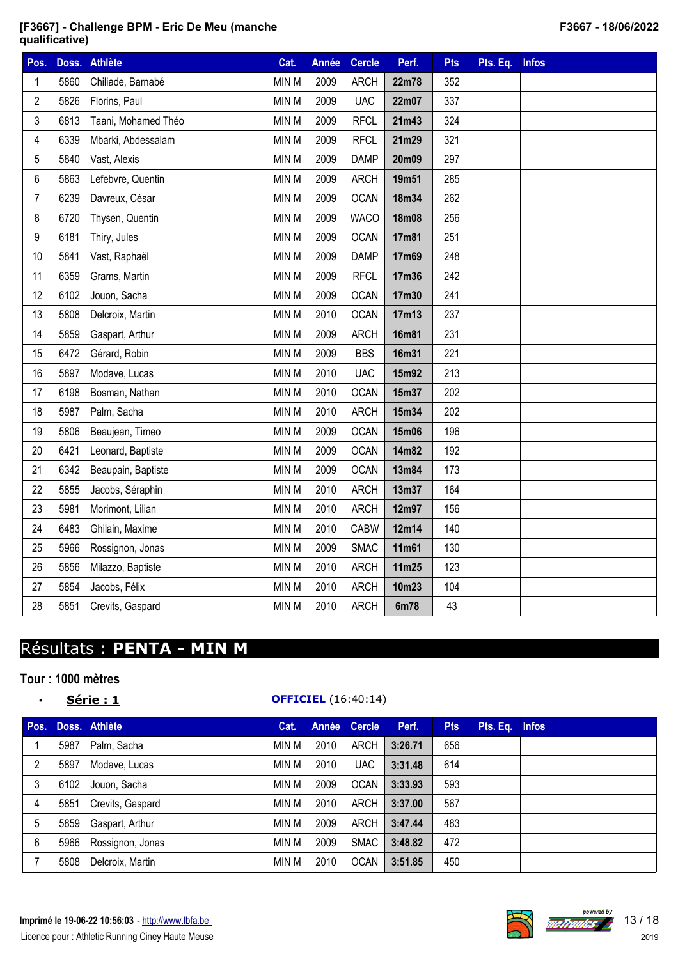| Pos.           | Doss. | <b>Athlète</b>      | Cat.  | <b>Année</b> | <b>Cercle</b> | Perf.        | <b>Pts</b> | Pts. Eq. | <b>Infos</b> |
|----------------|-------|---------------------|-------|--------------|---------------|--------------|------------|----------|--------------|
| 1              | 5860  | Chiliade, Barnabé   | MIN M | 2009         | <b>ARCH</b>   | 22m78        | 352        |          |              |
| $\overline{c}$ | 5826  | Florins, Paul       | MIN M | 2009         | <b>UAC</b>    | 22m07        | 337        |          |              |
| 3              | 6813  | Taani, Mohamed Théo | MIN M | 2009         | <b>RFCL</b>   | 21m43        | 324        |          |              |
| 4              | 6339  | Mbarki, Abdessalam  | MIN M | 2009         | <b>RFCL</b>   | 21m29        | 321        |          |              |
| 5              | 5840  | Vast, Alexis        | MIN M | 2009         | <b>DAMP</b>   | 20m09        | 297        |          |              |
| 6              | 5863  | Lefebvre, Quentin   | MIN M | 2009         | <b>ARCH</b>   | 19m51        | 285        |          |              |
| $\overline{7}$ | 6239  | Davreux, César      | MIN M | 2009         | <b>OCAN</b>   | 18m34        | 262        |          |              |
| 8              | 6720  | Thysen, Quentin     | MIN M | 2009         | <b>WACO</b>   | 18m08        | 256        |          |              |
| 9              | 6181  | Thiry, Jules        | MIN M | 2009         | <b>OCAN</b>   | 17m81        | 251        |          |              |
| 10             | 5841  | Vast, Raphaël       | MIN M | 2009         | <b>DAMP</b>   | 17m69        | 248        |          |              |
| 11             | 6359  | Grams, Martin       | MIN M | 2009         | <b>RFCL</b>   | 17m36        | 242        |          |              |
| 12             | 6102  | Jouon, Sacha        | MIN M | 2009         | <b>OCAN</b>   | 17m30        | 241        |          |              |
| 13             | 5808  | Delcroix, Martin    | MIN M | 2010         | <b>OCAN</b>   | 17m13        | 237        |          |              |
| 14             | 5859  | Gaspart, Arthur     | MIN M | 2009         | <b>ARCH</b>   | <b>16m81</b> | 231        |          |              |
| 15             | 6472  | Gérard, Robin       | MIN M | 2009         | <b>BBS</b>    | 16m31        | 221        |          |              |
| 16             | 5897  | Modave, Lucas       | MIN M | 2010         | <b>UAC</b>    | 15m92        | 213        |          |              |
| 17             | 6198  | Bosman, Nathan      | MIN M | 2010         | <b>OCAN</b>   | 15m37        | 202        |          |              |
| 18             | 5987  | Palm, Sacha         | MIN M | 2010         | <b>ARCH</b>   | 15m34        | 202        |          |              |
| 19             | 5806  | Beaujean, Timeo     | MIN M | 2009         | <b>OCAN</b>   | 15m06        | 196        |          |              |
| 20             | 6421  | Leonard, Baptiste   | MIN M | 2009         | <b>OCAN</b>   | 14m82        | 192        |          |              |
| 21             | 6342  | Beaupain, Baptiste  | MIN M | 2009         | <b>OCAN</b>   | 13m84        | 173        |          |              |
| 22             | 5855  | Jacobs, Séraphin    | MIN M | 2010         | <b>ARCH</b>   | 13m37        | 164        |          |              |
| 23             | 5981  | Morimont, Lilian    | MIN M | 2010         | <b>ARCH</b>   | 12m97        | 156        |          |              |
| 24             | 6483  | Ghilain, Maxime     | MIN M | 2010         | <b>CABW</b>   | 12m14        | 140        |          |              |
| 25             | 5966  | Rossignon, Jonas    | MIN M | 2009         | <b>SMAC</b>   | 11m61        | 130        |          |              |
| 26             | 5856  | Milazzo, Baptiste   | MIN M | 2010         | <b>ARCH</b>   | 11m25        | 123        |          |              |
| 27             | 5854  | Jacobs, Félix       | MIN M | 2010         | <b>ARCH</b>   | 10m23        | 104        |          |              |
| 28             | 5851  | Crevits, Gaspard    | MIN M | 2010         | <b>ARCH</b>   | 6m78         | 43         |          |              |

# Résultats : **PENTA - MIN M**

# **Tour : 1000 mètres**

## • **Série : 1 OFFICIEL** (16:40:14)

| Pos. |      | Doss. Athlète    | Cat.  |      | Année Cercle | Perf.   | <b>Pts</b> | Pts. Eq. Infos |  |
|------|------|------------------|-------|------|--------------|---------|------------|----------------|--|
|      | 5987 | Palm, Sacha      | MIN M | 2010 | ARCH         | 3:26.71 | 656        |                |  |
| 2    | 5897 | Modave, Lucas    | MIN M | 2010 | <b>UAC</b>   | 3:31.48 | 614        |                |  |
| 3    | 6102 | Jouon, Sacha     | MIN M | 2009 | <b>OCAN</b>  | 3:33.93 | 593        |                |  |
| 4    | 5851 | Crevits, Gaspard | MIN M | 2010 | ARCH         | 3:37.00 | 567        |                |  |
| 5    | 5859 | Gaspart, Arthur  | MIN M | 2009 | ARCH         | 3:47.44 | 483        |                |  |
| 6    | 5966 | Rossignon, Jonas | MIN M | 2009 | SMAC         | 3:48.82 | 472        |                |  |
|      | 5808 | Delcroix, Martin | min M | 2010 | <b>OCAN</b>  | 3:51.85 | 450        |                |  |



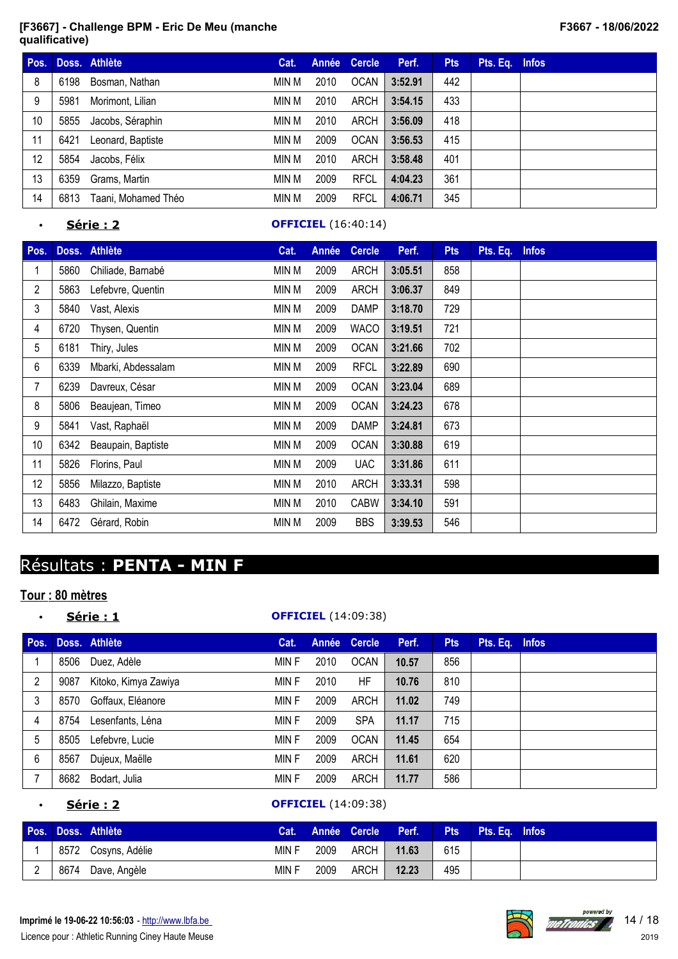| Pos. |      | Doss. Athlète       | Cat.  |      | Année Cercle | Perf.   | <b>Pts</b> | Pts. Eq. Infos |  |
|------|------|---------------------|-------|------|--------------|---------|------------|----------------|--|
| 8    | 6198 | Bosman, Nathan      | min M | 2010 | <b>OCAN</b>  | 3:52.91 | 442        |                |  |
| 9    | 5981 | Morimont, Lilian    | MIN M | 2010 | ARCH         | 3:54.15 | 433        |                |  |
| 10   | 5855 | Jacobs, Séraphin    | MIN M | 2010 | ARCH         | 3:56.09 | 418        |                |  |
| 11   | 6421 | Leonard, Baptiste   | min M | 2009 | <b>OCAN</b>  | 3:56.53 | 415        |                |  |
| 12   | 5854 | Jacobs, Félix       | MIN M | 2010 | ARCH         | 3:58.48 | 401        |                |  |
| 13   | 6359 | Grams, Martin       | min M | 2009 | <b>RFCL</b>  | 4:04.23 | 361        |                |  |
| 14   | 6813 | Taani, Mohamed Théo | MIN M | 2009 | <b>RFCL</b>  | 4:06.71 | 345        |                |  |

### • **Série : 2 OFFICIEL** (16:40:14)

| Pos.            |      | Doss. Athlète      | Cat.  | <b>Année</b> | <b>Cercle</b> | Perf.   | <b>Pts</b> | Pts. Eq. | <b>Infos</b> |
|-----------------|------|--------------------|-------|--------------|---------------|---------|------------|----------|--------------|
|                 | 5860 | Chiliade, Barnabé  | MIN M | 2009         | <b>ARCH</b>   | 3:05.51 | 858        |          |              |
| $\overline{2}$  | 5863 | Lefebvre, Quentin  | MIN M | 2009         | <b>ARCH</b>   | 3:06.37 | 849        |          |              |
| 3               | 5840 | Vast, Alexis       | MIN M | 2009         | <b>DAMP</b>   | 3:18.70 | 729        |          |              |
| 4               | 6720 | Thysen, Quentin    | MIN M | 2009         | <b>WACO</b>   | 3:19.51 | 721        |          |              |
| 5               | 6181 | Thiry, Jules       | MIN M | 2009         | <b>OCAN</b>   | 3:21.66 | 702        |          |              |
| 6               | 6339 | Mbarki, Abdessalam | MIN M | 2009         | <b>RFCL</b>   | 3:22.89 | 690        |          |              |
| 7               | 6239 | Davreux, César     | MIN M | 2009         | <b>OCAN</b>   | 3:23.04 | 689        |          |              |
| 8               | 5806 | Beaujean, Timeo    | MIN M | 2009         | <b>OCAN</b>   | 3:24.23 | 678        |          |              |
| 9               | 5841 | Vast, Raphaël      | MIN M | 2009         | <b>DAMP</b>   | 3:24.81 | 673        |          |              |
| 10 <sup>1</sup> | 6342 | Beaupain, Baptiste | MIN M | 2009         | <b>OCAN</b>   | 3:30.88 | 619        |          |              |
| 11              | 5826 | Florins, Paul      | MIN M | 2009         | <b>UAC</b>    | 3:31.86 | 611        |          |              |
| 12              | 5856 | Milazzo, Baptiste  | MIN M | 2010         | <b>ARCH</b>   | 3:33.31 | 598        |          |              |
| 13              | 6483 | Ghilain, Maxime    | MIN M | 2010         | <b>CABW</b>   | 3:34.10 | 591        |          |              |
| 14              | 6472 | Gérard, Robin      | MIN M | 2009         | <b>BBS</b>    | 3:39.53 | 546        |          |              |

# Résultats : **PENTA - MIN F**

## **Tour : 80 mètres**

| $\bullet$      |      | Série : 1            |       |      | <b>OFFICIEL</b> (14:09:38) |       |            |                |  |
|----------------|------|----------------------|-------|------|----------------------------|-------|------------|----------------|--|
| Pos.           |      | Doss. Athlète        | Cat.  |      | Année Cercle               | Perf. | <b>Pts</b> | Pts. Eq. Infos |  |
|                | 8506 | Duez, Adèle          | MIN F | 2010 | <b>OCAN</b>                | 10.57 | 856        |                |  |
| $\overline{2}$ | 9087 | Kitoko, Kimya Zawiya | MIN F | 2010 | HF                         | 10.76 | 810        |                |  |
| 3              | 8570 | Goffaux, Eléanore    | MIN F | 2009 | ARCH                       | 11.02 | 749        |                |  |
| $\overline{4}$ | 8754 | Lesenfants, Léna     | MIN F | 2009 | <b>SPA</b>                 | 11.17 | 715        |                |  |
| 5              | 8505 | Lefebvre, Lucie      | MIN F | 2009 | <b>OCAN</b>                | 11.45 | 654        |                |  |
| 6              | 8567 | Dujeux, Maëlle       | MIN F | 2009 | <b>ARCH</b>                | 11.61 | 620        |                |  |
| $\overline{7}$ | 8682 | Bodart, Julia        | MIN F | 2009 | <b>ARCH</b>                | 11.77 | 586        |                |  |

### • **Série : 2 OFFICIEL** (14:09:38)

|  | Pos. Doss. Athlète  |       |      | Cat. Année Cercle Perf. |       |     | <b>Pts</b> Pts. Eq. Infos |  |
|--|---------------------|-------|------|-------------------------|-------|-----|---------------------------|--|
|  | 8572 Cosyns, Adélie | MIN F | 2009 | ARCH                    | 11.63 | 615 |                           |  |
|  | 8674 Dave, Angèle   | MIN F | 2009 | ARCH I                  | 12.23 | 495 |                           |  |

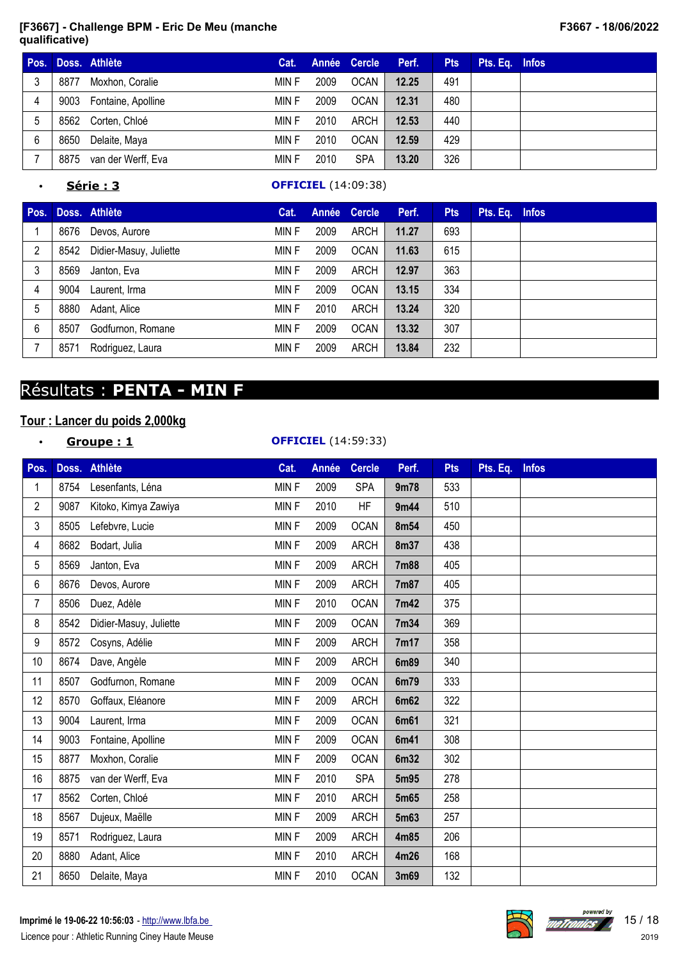| Pos. |      | Doss. Athlète      | Cat.  |      | Année Cercle | Perf. | <b>Pts</b> | Pts. Eq. Infos |  |
|------|------|--------------------|-------|------|--------------|-------|------------|----------------|--|
| 3    | 8877 | Moxhon, Coralie    | MIN F | 2009 | OCAN         | 12.25 | 491        |                |  |
| 4    | 9003 | Fontaine, Apolline | MIN F | 2009 | OCAN         | 12.31 | 480        |                |  |
| 5    | 8562 | Corten, Chloé      | MIN F | 2010 | ARCH         | 12.53 | 440        |                |  |
| 6    | 8650 | Delaite, Maya      | MIN F | 2010 | <b>OCAN</b>  | 12.59 | 429        |                |  |
|      | 8875 | van der Werff, Eva | MIN F | 2010 | <b>SPA</b>   | 13.20 | 326        |                |  |

## • **Série : 3 OFFICIEL** (14:09:38)

| Pos. |      | Doss. Athlète          | Cat.  |      | Année Cercle | Perf. | <b>Pts</b> | Pts. Eq. Infos |  |
|------|------|------------------------|-------|------|--------------|-------|------------|----------------|--|
|      | 8676 | Devos, Aurore          | MIN F | 2009 | ARCH         | 11.27 | 693        |                |  |
| 2    | 8542 | Didier-Masuy, Juliette | MIN F | 2009 | <b>OCAN</b>  | 11.63 | 615        |                |  |
| 3    | 8569 | Janton, Eva            | MIN F | 2009 | ARCH         | 12.97 | 363        |                |  |
| 4    | 9004 | Laurent, Irma          | MIN F | 2009 | <b>OCAN</b>  | 13.15 | 334        |                |  |
| 5    | 8880 | Adant, Alice           | MIN F | 2010 | ARCH         | 13.24 | 320        |                |  |
| 6    | 8507 | Godfurnon, Romane      | MIN F | 2009 | <b>OCAN</b>  | 13.32 | 307        |                |  |
|      | 8571 | Rodriguez, Laura       | MIN F | 2009 | ARCH         | 13.84 | 232        |                |  |

# Résultats : **PENTA - MIN F**

# **Tour : Lancer du poids 2,000kg**

|                |      | Groupe: 1              |       |       | <b>OFFICIEL</b> (14:59:33) |             |            |          |              |
|----------------|------|------------------------|-------|-------|----------------------------|-------------|------------|----------|--------------|
| Pos.           |      | Doss. Athlète          | Cat.  | Année | <b>Cercle</b>              | Perf.       | <b>Pts</b> | Pts. Eq. | <b>Infos</b> |
| 1              | 8754 | Lesenfants, Léna       | MINF  | 2009  | <b>SPA</b>                 | 9m78        | 533        |          |              |
| $\overline{2}$ | 9087 | Kitoko, Kimya Zawiya   | MINF  | 2010  | <b>HF</b>                  | 9m44        | 510        |          |              |
| 3              | 8505 | Lefebvre, Lucie        | MINF  | 2009  | <b>OCAN</b>                | 8m54        | 450        |          |              |
| 4              | 8682 | Bodart, Julia          | MINF  | 2009  | <b>ARCH</b>                | 8m37        | 438        |          |              |
| 5              | 8569 | Janton, Eva            | MINF  | 2009  | <b>ARCH</b>                | <b>7m88</b> | 405        |          |              |
| 6              | 8676 | Devos, Aurore          | MINF  | 2009  | <b>ARCH</b>                | 7m87        | 405        |          |              |
| 7              | 8506 | Duez, Adèle            | MIN F | 2010  | <b>OCAN</b>                | 7m42        | 375        |          |              |
| 8              | 8542 | Didier-Masuy, Juliette | MINF  | 2009  | <b>OCAN</b>                | 7m34        | 369        |          |              |
| 9              | 8572 | Cosyns, Adélie         | MINF  | 2009  | <b>ARCH</b>                | 7m17        | 358        |          |              |
| 10             | 8674 | Dave, Angèle           | MINF  | 2009  | <b>ARCH</b>                | 6m89        | 340        |          |              |
| 11             | 8507 | Godfurnon, Romane      | MINF  | 2009  | <b>OCAN</b>                | 6m79        | 333        |          |              |
| 12             | 8570 | Goffaux, Eléanore      | MIN F | 2009  | <b>ARCH</b>                | 6m62        | 322        |          |              |
| 13             | 9004 | Laurent, Irma          | MINF  | 2009  | <b>OCAN</b>                | 6m61        | 321        |          |              |
| 14             | 9003 | Fontaine, Apolline     | MINF  | 2009  | <b>OCAN</b>                | 6m41        | 308        |          |              |
| 15             | 8877 | Moxhon, Coralie        | MINF  | 2009  | <b>OCAN</b>                | 6m32        | 302        |          |              |
| 16             | 8875 | van der Werff, Eva     | MINF  | 2010  | <b>SPA</b>                 | 5m95        | 278        |          |              |
| 17             | 8562 | Corten, Chloé          | MIN F | 2010  | <b>ARCH</b>                | 5m65        | 258        |          |              |
| 18             | 8567 | Dujeux, Maëlle         | MINF  | 2009  | <b>ARCH</b>                | 5m63        | 257        |          |              |
| 19             | 8571 | Rodriguez, Laura       | MINF  | 2009  | <b>ARCH</b>                | 4m85        | 206        |          |              |
| 20             | 8880 | Adant, Alice           | MINF  | 2010  | <b>ARCH</b>                | 4m26        | 168        |          |              |
| 21             | 8650 | Delaite, Maya          | MINF  | 2010  | <b>OCAN</b>                | 3m69        | 132        |          |              |

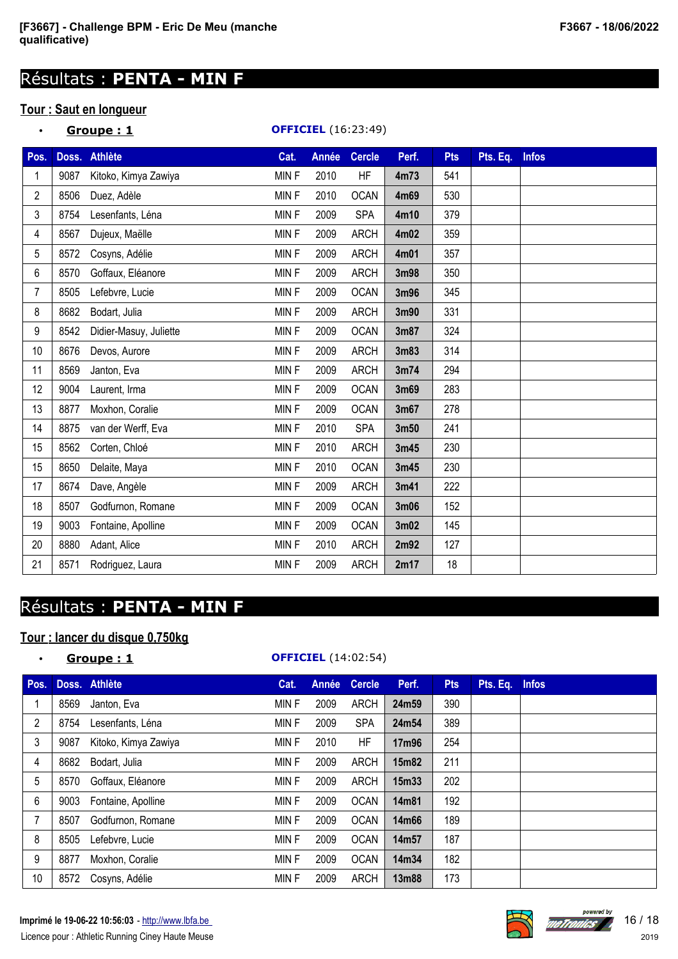# Résultats : **PENTA - MIN F**

# **Tour : Saut en longueur**

| $\bullet$      |      | Groupe: 1              |             | <b>OFFICIEL</b> (16:23:49) |               |       |            |          |              |
|----------------|------|------------------------|-------------|----------------------------|---------------|-------|------------|----------|--------------|
| Pos.           |      | Doss. Athlète          | Cat.        | Année                      | <b>Cercle</b> | Perf. | <b>Pts</b> | Pts. Eq. | <b>Infos</b> |
|                | 9087 | Kitoko, Kimya Zawiya   | <b>MINF</b> | 2010                       | HF            | 4m73  | 541        |          |              |
| $\overline{2}$ | 8506 | Duez, Adèle            | MIN F       | 2010                       | <b>OCAN</b>   | 4m69  | 530        |          |              |
| 3              | 8754 | Lesenfants, Léna       | MIN F       | 2009                       | <b>SPA</b>    | 4m10  | 379        |          |              |
| 4              | 8567 | Dujeux, Maëlle         | MIN F       | 2009                       | <b>ARCH</b>   | 4m02  | 359        |          |              |
| 5              | 8572 | Cosyns, Adélie         | MIN F       | 2009                       | <b>ARCH</b>   | 4m01  | 357        |          |              |
| 6              | 8570 | Goffaux, Eléanore      | MIN F       | 2009                       | <b>ARCH</b>   | 3m98  | 350        |          |              |
| $\overline{7}$ | 8505 | Lefebvre, Lucie        | MIN F       | 2009                       | <b>OCAN</b>   | 3m96  | 345        |          |              |
| 8              | 8682 | Bodart, Julia          | MIN F       | 2009                       | <b>ARCH</b>   | 3m90  | 331        |          |              |
| 9              | 8542 | Didier-Masuy, Juliette | <b>MINF</b> | 2009                       | <b>OCAN</b>   | 3m87  | 324        |          |              |
| 10             | 8676 | Devos, Aurore          | MIN F       | 2009                       | <b>ARCH</b>   | 3m83  | 314        |          |              |
| 11             | 8569 | Janton, Eva            | MIN F       | 2009                       | <b>ARCH</b>   | 3m74  | 294        |          |              |
| 12             | 9004 | Laurent, Irma          | MIN F       | 2009                       | <b>OCAN</b>   | 3m69  | 283        |          |              |
| 13             | 8877 | Moxhon, Coralie        | MIN F       | 2009                       | <b>OCAN</b>   | 3m67  | 278        |          |              |
| 14             | 8875 | van der Werff, Eva     | MINF        | 2010                       | <b>SPA</b>    | 3m50  | 241        |          |              |
| 15             | 8562 | Corten, Chloé          | MIN F       | 2010                       | <b>ARCH</b>   | 3m45  | 230        |          |              |
| 15             | 8650 | Delaite, Maya          | MINF        | 2010                       | <b>OCAN</b>   | 3m45  | 230        |          |              |
| 17             | 8674 | Dave, Angèle           | MIN F       | 2009                       | <b>ARCH</b>   | 3m41  | 222        |          |              |
| 18             | 8507 | Godfurnon, Romane      | MIN F       | 2009                       | <b>OCAN</b>   | 3m06  | 152        |          |              |
| 19             | 9003 | Fontaine, Apolline     | MINF        | 2009                       | <b>OCAN</b>   | 3m02  | 145        |          |              |
| 20             | 8880 | Adant, Alice           | MIN F       | 2010                       | <b>ARCH</b>   | 2m92  | 127        |          |              |
| 21             | 8571 | Rodriguez, Laura       | MINF        | 2009                       | <b>ARCH</b>   | 2m17  | 18         |          |              |

# Résultats : **PENTA - MIN F**

# **Tour : lancer du disque 0,750kg**

| $\bullet$      |      | Groupe: 1            |       |       | <b>OFFICIEL</b> (14:02:54) |       |            |                |  |
|----------------|------|----------------------|-------|-------|----------------------------|-------|------------|----------------|--|
| Pos.           |      | Doss. Athlète        | Cat.  | Année | <b>Cercle</b>              | Perf. | <b>Pts</b> | Pts. Eq. Infos |  |
|                | 8569 | Janton, Eva          | MIN F | 2009  | <b>ARCH</b>                | 24m59 | 390        |                |  |
| $\overline{2}$ | 8754 | Lesenfants, Léna     | MIN F | 2009  | <b>SPA</b>                 | 24m54 | 389        |                |  |
| 3              | 9087 | Kitoko, Kimya Zawiya | MIN F | 2010  | HF                         | 17m96 | 254        |                |  |
| 4              | 8682 | Bodart, Julia        | MIN F | 2009  | <b>ARCH</b>                | 15m82 | 211        |                |  |
| 5              | 8570 | Goffaux, Eléanore    | MIN F | 2009  | <b>ARCH</b>                | 15m33 | 202        |                |  |
| 6              | 9003 | Fontaine, Apolline   | MIN F | 2009  | <b>OCAN</b>                | 14m81 | 192        |                |  |
| 7              | 8507 | Godfurnon, Romane    | MIN F | 2009  | <b>OCAN</b>                | 14m66 | 189        |                |  |
| 8              | 8505 | Lefebvre, Lucie      | MIN F | 2009  | <b>OCAN</b>                | 14m57 | 187        |                |  |
| 9              | 8877 | Moxhon, Coralie      | MIN F | 2009  | <b>OCAN</b>                | 14m34 | 182        |                |  |
| 10             | 8572 | Cosyns, Adélie       | MIN F | 2009  | <b>ARCH</b>                | 13m88 | 173        |                |  |

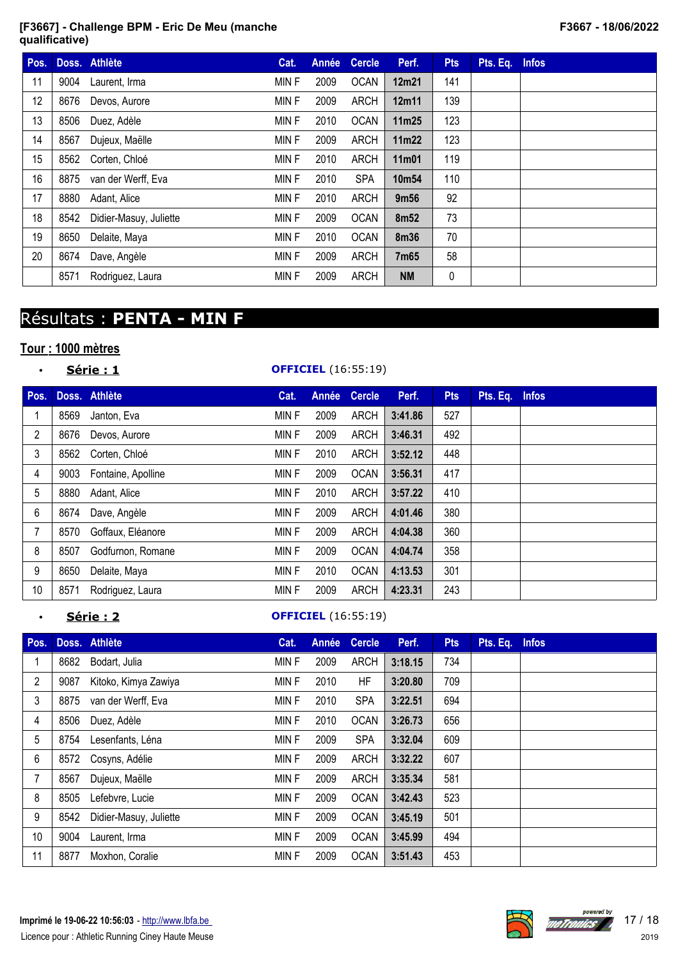| Pos. |      | Doss. Athlète          | Cat.        | Année | <b>Cercle</b> | Perf.             | <b>Pts</b> | Pts. Eq. Infos |  |
|------|------|------------------------|-------------|-------|---------------|-------------------|------------|----------------|--|
| 11   | 9004 | Laurent, Irma          | MIN F       | 2009  | <b>OCAN</b>   | 12m21             | 141        |                |  |
| 12   | 8676 | Devos, Aurore          | MIN F       | 2009  | <b>ARCH</b>   | 12m11             | 139        |                |  |
| 13   | 8506 | Duez, Adèle            | MIN F       | 2010  | <b>OCAN</b>   | 11m25             | 123        |                |  |
| 14   | 8567 | Dujeux, Maëlle         | MIN F       | 2009  | <b>ARCH</b>   | 11m22             | 123        |                |  |
| 15   |      | 8562 Corten, Chloé     | MIN F       | 2010  | ARCH          | 11m01             | 119        |                |  |
| 16   | 8875 | van der Werff, Eva     | MIN F       | 2010  | <b>SPA</b>    | 10m <sub>54</sub> | 110        |                |  |
| 17   | 8880 | Adant, Alice           | MIN F       | 2010  | ARCH          | 9m <sub>56</sub>  | 92         |                |  |
| 18   | 8542 | Didier-Masuy, Juliette | MIN F       | 2009  | <b>OCAN</b>   | 8m <sub>52</sub>  | 73         |                |  |
| 19   | 8650 | Delaite, Maya          | <b>MINF</b> | 2010  | <b>OCAN</b>   | 8m36              | 70         |                |  |
| 20   | 8674 | Dave, Angèle           | MIN F       | 2009  | <b>ARCH</b>   | 7m65              | 58         |                |  |
|      | 8571 | Rodriguez, Laura       | MIN F       | 2009  | <b>ARCH</b>   | <b>NM</b>         | 0          |                |  |

# Résultats : **PENTA - MIN F**

# **Tour : 1000 mètres**

| $\bullet$      | Série : 1 |                    | <b>OFFICIEL</b> (16:55:19) |       |               |         |            |          |              |  |
|----------------|-----------|--------------------|----------------------------|-------|---------------|---------|------------|----------|--------------|--|
| Pos.           |           | Doss. Athlète      | Cat.                       | Année | <b>Cercle</b> | Perf.   | <b>Pts</b> | Pts. Eq. | <b>Infos</b> |  |
|                | 8569      | Janton, Eva        | MIN F                      | 2009  | <b>ARCH</b>   | 3:41.86 | 527        |          |              |  |
| $\overline{2}$ | 8676      | Devos, Aurore      | MIN F                      | 2009  | <b>ARCH</b>   | 3:46.31 | 492        |          |              |  |
| 3              | 8562      | Corten, Chloé      | MIN F                      | 2010  | <b>ARCH</b>   | 3:52.12 | 448        |          |              |  |
| 4              | 9003      | Fontaine, Apolline | MIN F                      | 2009  | <b>OCAN</b>   | 3:56.31 | 417        |          |              |  |
| 5              | 8880      | Adant, Alice       | <b>MINF</b>                | 2010  | <b>ARCH</b>   | 3:57.22 | 410        |          |              |  |
| 6              | 8674      | Dave, Angèle       | MIN F                      | 2009  | <b>ARCH</b>   | 4:01.46 | 380        |          |              |  |
| 7              | 8570      | Goffaux, Eléanore  | MIN F                      | 2009  | <b>ARCH</b>   | 4:04.38 | 360        |          |              |  |
| 8              | 8507      | Godfurnon, Romane  | <b>MINF</b>                | 2009  | <b>OCAN</b>   | 4:04.74 | 358        |          |              |  |
| 9              | 8650      | Delaite, Maya      | MIN F                      | 2010  | <b>OCAN</b>   | 4:13.53 | 301        |          |              |  |
| 10             | 8571      | Rodriguez, Laura   | MIN F                      | 2009  | <b>ARCH</b>   | 4:23.31 | 243        |          |              |  |

## • **Série : 2 OFFICIEL** (16:55:19)

| Pos.           |      | Doss. Athlète          | Cat.        | Année | <b>Cercle</b> | Perf.   | <b>Pts</b> | Pts. Eq. | <b>Infos</b> |
|----------------|------|------------------------|-------------|-------|---------------|---------|------------|----------|--------------|
|                | 8682 | Bodart, Julia          | MIN F       | 2009  | <b>ARCH</b>   | 3:18.15 | 734        |          |              |
| $\overline{2}$ | 9087 | Kitoko, Kimya Zawiya   | MIN F       | 2010  | HF            | 3:20.80 | 709        |          |              |
| 3              | 8875 | van der Werff, Eva     | <b>MINF</b> | 2010  | <b>SPA</b>    | 3:22.51 | 694        |          |              |
| 4              | 8506 | Duez, Adèle            | MIN F       | 2010  | <b>OCAN</b>   | 3:26.73 | 656        |          |              |
| 5              | 8754 | Lesenfants, Léna       | <b>MINF</b> | 2009  | <b>SPA</b>    | 3:32.04 | 609        |          |              |
| 6              | 8572 | Cosyns, Adélie         | <b>MINF</b> | 2009  | <b>ARCH</b>   | 3:32.22 | 607        |          |              |
| 7              | 8567 | Dujeux, Maëlle         | MIN F       | 2009  | ARCH          | 3:35.34 | 581        |          |              |
| 8              | 8505 | Lefebvre, Lucie        | MIN F       | 2009  | <b>OCAN</b>   | 3:42.43 | 523        |          |              |
| 9              | 8542 | Didier-Masuy, Juliette | MIN F       | 2009  | <b>OCAN</b>   | 3:45.19 | 501        |          |              |
| 10             | 9004 | Laurent, Irma          | <b>MINF</b> | 2009  | <b>OCAN</b>   | 3:45.99 | 494        |          |              |
| 11             | 8877 | Moxhon, Coralie        | MIN F       | 2009  | <b>OCAN</b>   | 3:51.43 | 453        |          |              |